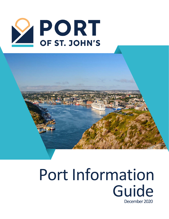



## Port Information Guide December 2020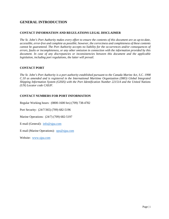## **GENERAL INTRODUCTION**

## **CONTACT INFORMATION AND REGULATIONS LEGAL DISCLAIMER**

*The St. John's Port Authority makes every effort to ensure the contents of this document are as up-to-date, accessible, error-free and complete as possible; however, the correctness and completeness of these contents cannot be guaranteed. The Port Authority accepts no liability for the occurrences and/or consequences of errors, faults or incompleteness, or any other omission in connection with the information provided by this document. In case of any discrepancies or inconsistencies between this document and the applicable legislation, including port regulations, the latter will prevail.*

## **CONTACT PORT**

*The St. John's Port Authority is a port authority established pursuant to the Canada Marine Act, S.C. 1998 C.10 as amended and is registered in the International Maritime Organization (IMO) Global Integrated Shipping Information System (GISIS) with the Port Identification Number 221514 and the United Nations (UN) Locator code CASJF.*

## **CONTACT NUMBERS FOR PORT INFORMATION**

Regular Working hours: (0800-1600 hrs) (709) 738-4782

Port Security: (24/7/365) (709) 682-5196

Marine Operations: (24/7) (709) 682-5197

E-mail (General): [info@sjpa.com](mailto:info@sjpa.com)

E-mail (Marine Operations): [ops@sjpa.com](mailto:ops@sjpa.com)

Website: [www.sjpa.com](http://www.sjpa.com/)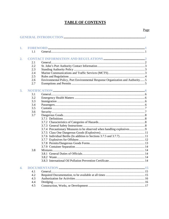## **TABLE OF CONTENTS**

| 1.               |     |                                                                                |  |
|------------------|-----|--------------------------------------------------------------------------------|--|
|                  | 1.1 |                                                                                |  |
| 2.               |     |                                                                                |  |
|                  | 2.1 |                                                                                |  |
|                  | 2.2 |                                                                                |  |
|                  | 2.3 |                                                                                |  |
|                  | 2.4 |                                                                                |  |
|                  | 2.5 |                                                                                |  |
|                  | 2.6 | Environmental Policy, Port Environmental Response Organization and Authority 5 |  |
|                  | 2.7 |                                                                                |  |
| 3.               |     |                                                                                |  |
|                  | 3.1 |                                                                                |  |
|                  | 3.2 |                                                                                |  |
|                  | 3.3 |                                                                                |  |
|                  | 3.4 |                                                                                |  |
|                  | 3.5 |                                                                                |  |
|                  | 3.6 |                                                                                |  |
|                  | 3.7 |                                                                                |  |
|                  |     |                                                                                |  |
|                  |     |                                                                                |  |
|                  |     |                                                                                |  |
|                  |     | 3.7.4 Precautionary Measures to be observed when handling explosives 9         |  |
|                  |     |                                                                                |  |
|                  |     |                                                                                |  |
|                  |     |                                                                                |  |
|                  |     |                                                                                |  |
|                  |     |                                                                                |  |
|                  | 3.8 |                                                                                |  |
|                  |     |                                                                                |  |
|                  |     |                                                                                |  |
|                  |     |                                                                                |  |
| $\overline{4}$ . |     |                                                                                |  |
|                  | 4.1 |                                                                                |  |
|                  | 4.2 |                                                                                |  |
|                  | 4.3 |                                                                                |  |
|                  | 4.4 |                                                                                |  |
|                  | 4.5 |                                                                                |  |
|                  |     |                                                                                |  |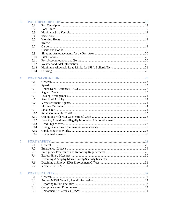| 5. |      |  |
|----|------|--|
|    | 5.1  |  |
|    | 5.2  |  |
|    | 5.3  |  |
|    | 5.4  |  |
|    | 5.5  |  |
|    | 5.6  |  |
|    | 5.7  |  |
|    | 5.8  |  |
|    | 5.9  |  |
|    | 5.10 |  |
|    | 5.11 |  |
|    | 5.12 |  |
|    | 5.13 |  |
|    | 5.14 |  |
| 6. |      |  |
|    | 6.1  |  |
|    | 6.2  |  |
|    | 6.3  |  |
|    | 6.4  |  |
|    | 6.5  |  |
|    | 6.6  |  |
|    | 6.7  |  |
|    | 6.8  |  |
|    | 6.9  |  |
|    | 6.10 |  |
|    | 6.11 |  |
|    | 6.12 |  |
|    | 6.13 |  |
|    | 6.14 |  |
|    | 6.15 |  |
|    | 6.16 |  |
| 7. |      |  |
|    | 7.1  |  |
|    | 7.2  |  |
|    | 7.3  |  |
|    | 7.4  |  |
|    | 7.5  |  |
|    | 7.6  |  |
|    | 7.7  |  |
| 8. |      |  |
|    | 8.1  |  |
|    | 8.2  |  |
|    | 8.3  |  |
|    | 8.4  |  |
|    | 8.5  |  |
|    |      |  |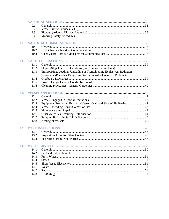| 9.  |      |                                                                          |  |
|-----|------|--------------------------------------------------------------------------|--|
|     | 9.1  |                                                                          |  |
|     | 9.2  |                                                                          |  |
|     | 9.3  |                                                                          |  |
|     | 9.4  |                                                                          |  |
| 10. |      |                                                                          |  |
|     | 10.1 |                                                                          |  |
|     | 10.2 |                                                                          |  |
|     | 10.3 |                                                                          |  |
| 11. |      |                                                                          |  |
|     | 11.1 |                                                                          |  |
|     | 11.2 |                                                                          |  |
|     | 11.3 | Transporting, Loading, Unloading or Transshipping Explosives, Radiation  |  |
|     |      | Sources, and/or other Dangerous Goods, Industrial Waste or Pollutants 39 |  |
|     | 11.4 |                                                                          |  |
|     | 11.5 |                                                                          |  |
|     | 11.6 |                                                                          |  |
| 12. |      |                                                                          |  |
|     | 12.1 |                                                                          |  |
|     | 12.2 |                                                                          |  |
|     | 12.3 | Equipment Protruding Beyond a Vessels Outboard Side While Berthed  42    |  |
|     | 12.4 |                                                                          |  |
|     | 12.5 |                                                                          |  |
|     | 12.6 |                                                                          |  |
|     | 12.7 |                                                                          |  |
|     | 12.8 |                                                                          |  |
| 13. |      |                                                                          |  |
|     | 13.1 |                                                                          |  |
|     | 13.2 |                                                                          |  |
|     | 13.3 |                                                                          |  |
| 14. |      |                                                                          |  |
|     | 14.1 |                                                                          |  |
|     | 14.2 |                                                                          |  |
|     | 14.3 |                                                                          |  |
|     | 14.4 |                                                                          |  |
|     | 14.5 |                                                                          |  |
|     | 14.6 |                                                                          |  |
|     | 14.7 |                                                                          |  |
|     | 14.8 |                                                                          |  |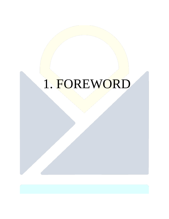## 1. FOREWORD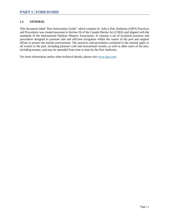## **1.1 GENERAL**

This document titled "Port Information Guide" which contains St. John's Port Authority (SJPA) Practices and Procedures was created pursuant to Section 56 of the Canada Marine Act (CMA) and aligned with the standards of the International Harbour Masters Association. It contains a set of localized practices and procedures designed to promote safe and efficient navigation within the waters of the port and support efforts to protect the marine environment. The practices and procedures contained in the manual apply to all vessels in the port, including pleasure craft and recreational vessels, as well as other users of the port, including tenants, and may be amended from time to time by the Port Authority.

For more information and/or other technical details, please visit [www.sjpa.com.](http://www.sjpa.com/)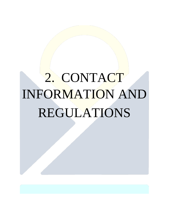# 2. CONTACT INFORMATION AND REGULATIONS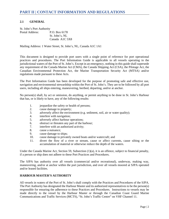## **2.1 GENERAL**

| St. John's Port Authority |                |
|---------------------------|----------------|
| Postal Address:           | P.O. Box 6178  |
|                           | St. John's, NL |
|                           | Canada A1C 5X8 |

Mailing Address: 1 Water Street, St. John's, NL, Canada A1C 1A1

This document is designed to provide port users with a single point of reference for port operational practices and procedures. The Port Information Guide is applicable to all vessels operating in the jurisdictional waters of the Port of St. John's. Except in an emergency, nothing in this guide shall supersede any requirement of the Canada Marine Act (CMA), the Canada Shipping Act (CSA), the Pilotage Act, the Canadian Environmental Protection Act, the Marine Transportation Security Act (MTSA) and/or regulations made pursuant to these Acts.

The Port Information Guide has been developed for the purpose of promoting safe and effective use, navigation and environmental stewardship within the Port of St. John's. They are to be followed by all port users, including all ships entering, maneuvering, berthed, departing, and/or at anchor.

No person(s) shall, by act or omission, do anything, or permit anything to be done in St. John's Harbour that has, or is likely to have, any of the following results:

- 1. jeopardize the safety or health of persons;
- 2. cause damage to property;
- 3. adversely affect the environment (e.g. sediment, soil, air or water quality);
- 4. interfere with navigation;
- 5. adversely affect harbour operations;
- 6. obstruct or threaten any part of the harbour;
- 7. interfere with an authorized activity;
- 8. cause a nuisance;
- 9. cause damage to ships;
- 10. cause damage to privately owned boats and/or watercraft; and
- 11. divert the flow of a river or stream, cause or affect currents, cause silting or the accumulation of material or otherwise reduce the depth of the waters.

Under the Canada Marine Act, Section 59, Subsection  $(1)(a)$ , it is an offence, subject to financial penalty, if a person or ship does not adhere to these Port Practices and Procedures.

The SJPA has authority over all vessels (commercial and/or recreational), underway, making way, maneuvering, and/or at anchor within the port jurisdiction, and over all vessels moored at SJPA operated and/or leased facilities.

#### **HARBOUR MASTER'S AUTHORITY**

All vessels in waters of the Port of St. John's shall comply with the Practices and Procedures of the SJPA. The Port Authority has designated the Harbour Master and its authorized representatives to be the person(s) responsible for ensuring the adherence to these Practices and Procedures. Instructions to vessels may be made directly to the vessel by the Harbour Master or through the Canadian Coast Guard Marine Communications and Traffic Services (MCTS), "St. John's Traffic Centre" on VHF Channel 11.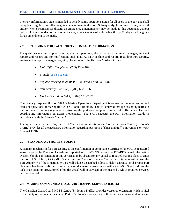## **PART II | CONTACT INFORMATION AND REGULATIONS**

The Port Information Guide is intended to be a dynamic operations guide for all users of the port and shall be updated regularly to reflect ongoing development in the port. Subsequently, from time to time, and/or if and/or when circumstances dictate, an emergency amendment(s) may be made to this document without notice. However, under normal circumstances, advance notice of no less than thirty (30) days shall be given for an amendment to be made.

## **2.2 ST. JOHN'S PORT AUTHORITY CONTACT INFORMATION**

For questions relating to port security, marine operations, drills, requests, permits, messages, incident reports and repairs and for notifications such as ETA, ETD of ships and reports regarding port security, environmental spills, emergencies, etc., please contact the Harbour Master's Office.

- *Main Office Telephone:* (709) 738-4782
- *E-mail:* [ops@sjpa.com](mailto:ops@sjpa.com)
- *Regular Working hours (0800-1600 hrs)*: (709) 738-4782
- *Port Security (24/7/365)*: (709) 682-5196
- *Marine Operations (24/7)*: (709) 682-5197

The primary responsibility of SJPA's Marine Operations Department is to ensure the safe, secure and efficient operations of marine traffic in St. John's Harbour. This is achieved through assigning berths in the port area, enforcing regulations, patrolling the port area, keeping commercial traffic lanes clear and coordinating information on traffic movements. The SJPA executes the Port Information Guide in accordance with the Canada Marine Act.

In conjunction with the SJPA, the CCG Marine Communications and Traffic Services Centre (St. John's Traffic) provides all the necessary information regarding positions of ships and traffic movements on VHF Channel 11/16.

#### **2.3 STANDING AUTHORITY POLICY**

A primary mechanism for port security is the confirmation of compliance certificate for SOLAS registered vessels verified by Transport Canada and reported to CCG-MCTS through the ECAREG vessel information system. Should confirmation of this certification be absent for any vessel so required making plans to enter the Port of St. John's, CCG-MCTS shall inform Transport Canada Marine Security who will advise the Port Authority of the situation. MCTS will advise dispatched pilots to delay entrance until proper port clearance has been confirmed. Similarly, should a vessel make contact with CCG-MCTS and indicate the lack of an agent or programmed pilot, the vessel will be advised of the means by which required services can be obtained.

#### **2.4 MARINE COMMUNICATIONS AND TRAFFIC SERVICES (MCTS)**

The Canadian Coast Guard MCTS Centre (St. John's Traffic) provides vessel co-ordination which is vital to the safety of port operations in the Port of St. John's. Consistency of these services is essential to marine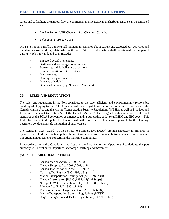## **PART II | CONTACT INFORMATION AND REGULATIONS**

safety and to facilitate the smooth flow of commercial marine traffic in the harbour. MCTS can be contacted via;

- *Marine Radio:* (VHF Channel 11 or Channel 16), and/or
- *Telephone:* (709) 227-2181

MCTS (St. John's Traffic Centre) shall maintain information about current and expected port activities and maintain a close working relationship with the SJPA. This information shall be retained for the period during which it is valid, and shall include:

- Expected vessel movements
- Berthage and anchorage commitments
- Bunkering and de-ballasting operations
- Special operations or instructions
- Marine events
- Contingency plans in effect
- Move as scheduled
- Broadcast Service (e.g. Notices to Mariners)

## **2.5 RULES AND REGULATIONS**

The rules and regulations in the Port contribute to the safe, efficient, and environmentally responsible handling of shipping traffic. The Canadian rules and regulations that are in force in the Port such as the Canada Marine Act, and the Marine Transportation Security Regulations (MTSR), as well as Practices and Procedures pursuant to Section 56 of the Canada Marine Act are aligned with international rules and standards as the SOLAS convention as amended, and its supporting codes (e.g. IMDG and IBC code). This Port Information Guide applies to all vessels within the port, and to all persons responsible for the planning, operation, conduct and safe navigation of such vessels.

The Canadian Coast Guard (CCG) Notices to Mariners (NOTMAR) provide necessary information to updates of all charts and nautical publications. It will advise you of new initiatives, services and also some important announcements concerning the maritime community.

In accordance with the Canada Marine Act and the Port Authorities Operations Regulations, the port authority will direct entry, departure, anchorage, berthing and movement.

#### **(A) APPLICABLE REGULATIONS:**

- Canada Marine Act (S.C. 1998, c.10)
- Canada Shipping Act, 2001 (2001, c. 26)
- Canada Transportation Act (S.C. 1996, c.10)
- Coasting Trading Act (S.C.1992, c.31)
- Marine Transportation Security Act (S.C.1994, c.40)
- Canada Customs Act [R.S.C.,1985, c.1(2nd Supp)]
- Navigable Waters Protection Act (R.S.C., 1985, c.N-22)
- Pilotage Act (R.S.C., 1985, c.P-14)
- Transportation of Dangerous Goods Act, 1992 (c.34)
- Marine Transportation Security Regulations (MTSR)
- Cargo, Fumigation and Tackle Regulations (SOR.2007-128)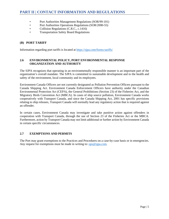- Port Authorities Management Regulations (SOR/99-101)
- Port Authorities Operations Regulations (SOR/2000-55)
- Collision Regulations (C.R.C., c.1416)
- Transportation Safety Board Regulations

## **(B) PORT TARIFF**

Information regarding port tariffs is located at <https://sjpa.com/forms-tariffs/>

## **2.6 ENVIRONMENTAL POLICY, PORT ENVIRONMENTAL RESPONSE ORGANIZATION AND AUTHORITY**

The SJPA recognizes that operating in an environmentally responsible manner is an important part of the organization's overall mandate. The SJPA is committed to sustainable development and to the health and safety of the environment, local community and its employees.

Environment Canada Officers are not currently designated as Pollution Prevention Officers pursuant to the Canada Shipping Act. Environment Canada Enforcement Officers have authority under the Canadian Environmental Protection Act (CEPA), the General Prohibitions (Section 23) of the Fisheries Act, and the Migratory Birds Convention Act (MBCA). In cases of ship source pollution, Environment Canada works cooperatively with Transport Canada, and since the Canada Shipping Act, 2001 has specific provisions relating to ship releases, Transport Canada will normally lead any regulatory action that is required against an offender.

In certain cases, Environment Canada may investigate and take punitive action against offenders in cooperation with Transport Canada, through the use of Section 23 of the Fisheries Act or the MBCA. Furthermore, action by Transport Canada may not limit additional or further action by Environment Canada in certain specific circumstances.

#### **2.7 EXEMPTIONS AND PERMITS**

The Port may grant exemptions to the Practices and Procedures on a case-by-case basis or in emergencies. Any request for exemptions must be made in writing to: <u>ops@sjpa.com</u>.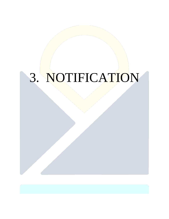# 3. NOTIFICATION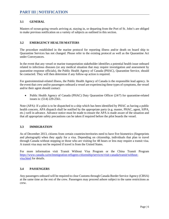## **3.1 GENERAL**

Masters of ocean-going vessels arriving at, staying in, or departing from the Port of St. John's are obliged to make previous notification on a variety of subjects as outlined in this section.

## **3.2 EMERGENCY HEALTH MATTERS**

The procedure established in the marine protocol for reporting illness and/or death on board ship to Quarantine Services has not changed. Please refer to the existing protocol as well as the Quarantine Act under Conveyances.

In the event that any vessel or marine transportation stakeholder identifies a potential health issue onboard related to infectious diseases (or any medical situation that may require investigation and assessment by quarantine response officials), the Public Health Agency of Canada (PHAC), Quarantine Service, should be contacted. They will then determine if any follow-up action is required.

For gastrointestinal-related illness, the Public Health Agency of Canada is the responsible lead agency. In the event that crew and/or passengers onboard a vessel are experiencing these types of symptoms, the vessel and/or their agent should contact:

• Public Health Agency of Canada (PHAC) Duty Quarantine Officer (24/7) for quarantine-related issues is: (514) 229-2561.

Note (APA): If a pilot is to be dispatched to a ship which has been identified by PHAC as having a public health concern, APA dispatch shall be notified by the appropriate party (e.g. master, PHAC, agent, SJPA, etc.) well in advance. Advance notice must be made to ensure the APA is made aware of the situation and that all appropriate safety precautions can be taken if required before the pilot boards the vessel.

## **3.3 IMMIGRATION**

As of December 2013, citizens from certain countries/territories need to have five biometrics (fingerprints and photograph) when they apply for a visa. Depending on citizenship, individuals that plan to travel through Canada without stopping or those who are visiting for 48 hours or less may require a transit visa. A transit visa may not be required if travel is from the United States.

For more information visit Transit Without Visa Program or the China Transit Program [https://www.canada.ca/en/immigration-refugees-citizenship/services/visit-canada/transit/without](https://www.canada.ca/en/immigration-refugees-citizenship/services/visit-canada/transit/without-visa.html)[visa.html](https://www.canada.ca/en/immigration-refugees-citizenship/services/visit-canada/transit/without-visa.html) for details.

#### **3.4 PASSENGERS**

Any passengers onboard will be required to clear Customs through Canada Border Service Agency (CBSA) at the same time as the rest of the crew. Passengers may proceed ashore subject to the same restrictions as crew.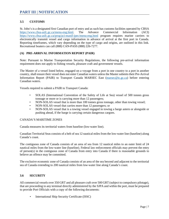## **3.5 CUSTOMS**

St. John's is a designated first Canadian port of entry and as such has customs facilities operated by CBSA [https://www.cbsa-asfc.gc.ca/menu-eng.html.](https://www.cbsa-asfc.gc.ca/menu-eng.html) The Advance Commercial Information (ACI) <https://www.cbsa-asfc.gc.ca/prog/aci-manif-ipec/menu-eng.html> program requires marine carriers to electronically transmit vessel and cargo information in advance of arrival at the first port in Canada. Reporting timeframes, which vary depending on the type of cargo and origins, are outlined in this link. Recreational boaters can call (888) CAN-PASS (888) 226-7277.

## **(A) PRE-ARRIVAL INFORMATION REPORT (PAIR)**

Note: Pursuant to Marine Transportation Security Regulations, the following pre-arrival information requirement does not apply to fishing vessels, pleasure craft and government vessels.

The Master of a vessel listed below, engaged on a voyage from a port in one country to a port in another country, shall ensure their vessel does not enter Canadian waters unless the Master submits their Pre-Arrival Information Report (PAIR) to Transport Canada MARSEC East [\(marsec@tc.gc.ca\)](mailto:marsec@tc.gc.ca) before entering Canadian waters.

Vessels required to submit a PAIR to Transport Canada:

- SOLAS (International Convention of the Safety of Life at Sea) vessel of 500 tonnes gross tonnage or more or is carrying more than 12 passengers;
- NON-SOLAS vessel that is more than 100 tonnes gross tonnage, other than towing vessel;
- NON-SOLAS vessel that carries more than 12 passengers; or
- NON-SOLAS vessel that is a towing vessel engaged in towing a barge astern or alongside or pushing ahead, if the barge is carrying certain dangerous cargoes.

#### CANADA'S MARITIME ZONES

Canada measures its territorial waters from baseline (low-water line).

Canadian Territorial Seas consists of a belt of sea 12 nautical miles from the low-water line (baseline) along Canada's coast.

The contiguous zone of Canada consists of an area of sea from 12 nautical miles to an outer limit of 24 nautical miles from the low-water line (baseline). Federal law enforcement officials may prevent the entry of person(s) in the contiguous zone of Canada from entry into Canada if there is reasonable grounds to believe an offence may be committed.

The exclusive economic zone of Canada consists of an area of the sea beyond and adjacent to the territorial sea of Canada extending to 200 nautical miles from low-water line along Canada's coast.

#### **3.6 SECURITY**

All commercial vessels over 350 GRT and all pleasure craft over 500 GRT (subject to compulsory pilotage), that are proceeding to any terminal directly administered by the SJPA and within the port, must be prepared to provide Port Officials with a copy of the following documents:

• International Ship Security Certificate (ISSC)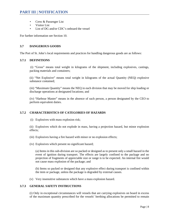- Crew & Passenger List
- Visitor List
- List of DG and/or CDC's onboard the vessel

For further information see Section 10.

## **3.7 DANGEROUS GOODS**

The Port of St. John's local requirements and practices for handling dangerous goods are as follows:

#### **3.7.1 DEFINITIONS**

(i) "Gross" means total weight in kilograms of the shipment, including explosives, castings, packing materials and containers;

(ii) "Net Explosive" means total weight in kilograms of the actual Quantity (NEQ) explosive substance contained;

(iii) "Maximum Quantity" means the NEQ in each division that may be moved for ship loading or discharge operations at designated locations; and

(iv) "Harbour Master" means in the absence of such person, a person designated by the CEO to perform equivalent duties.

## **3.7.2 CHARACTERISTICS OF CATEGORIES OF HAZARDS**

(i) Explosives with mass explosion risk;

(ii) Explosives which do not explode in mass, having a projection hazard, but minor explosion effects;

- (iii) Explosives having a fire hazard with minor or no explosion effects;
- (iv) Explosives which present no significant hazard;

(a) Items in this sub-division are so packed or designed as to present only a small hazard in the event of ignition during transport. The effects are largely confined to the package and no projection of fragments of appreciable size or range is to be expected. An internal fire would not cause mass explosion of the package; and

(b) Items so packed or designed that any explosive effect during transport is confined within the item or package, unless the package is degraded by external causes.

(v) Very insensitive substances which have a mass explosion hazard.

## **3.7.3 GENERAL SAFETY INSTRUCTIONS**

(i) Only in exceptional circumstances will vessels that are carrying explosives on board in excess of the maximum quantity prescribed for the vessels' berthing allocations be permitted to remain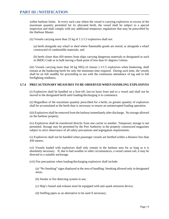within harbour limits. In every such case where the vessel is carrying explosives in excess of the maximum quantity permitted for its allocated berth, the vessel shall be subject to a special inspection and shall comply with any additional temporary regulations that may be prescribed by the Harbour Master.

(ii) Vessels carrying more than 25 kg of 1.1/1.5 explosives shall not:

(a) berth alongside any wharf or shed where flammable goods are stored, or alongside a wharf constructed of combustible materials; and

(b) berth closer than 450 meters from ships carrying dangerous materials or designated as such in IMDG Code or in bulk having a flash point of less than 61 degrees Celsius.

(iii) Vessels carrying more than 50 kg NEQ of classes 1.1/1.5 explosives when bunkering, shall remain at the bunkering berth for only the minimum time required. During such time, the vessels shall be on full standby for proceeding to sea with the continuous attendance of tug and in full firefighting readiness.

#### **3.7.4 PRECAUTIONARY MEASURES TO BE OBSERVED WHEN HANDLING EXPLOSIVES**

(i) Explosives shall be handled on a first-off, last-on basis from and to a vessel and shall not be moved to the designated berth until loading/discharging is to commence.

(ii) Regardless of the maximum quantity prescribed for a berth, no greater quantity of explosives shall be accumulated at the berth than is necessary to ensure an uninterrupted loading operation.

(iii) Explosives shall be removed from the harbour immediately after discharge. No storage allowed on the harbour property.

(iv) Explosives shall be transferred directly from one carrier to another. Temporary storage is not permitted. Storage may be permitted by the Port Authority in the properly constructed magazines subject to strict observance of all safety precautions and segregation requirements.

(v) Explosives shall not be handled when passenger vessels are berthed within a distance less than 450 meters.

(vi) Vessels loaded with explosives shall only remain in the harbour area for as long as it is absolutely necessary. If, due to bad weather or other circumstances, a vessel cannot sail, it may be directed to a suitable anchorage.

(vii) Fire precautions when loading/discharging explosives shall include:

(a) "No Smoking" signs displayed at the area of handling. Smoking allowed only in designated areas;

(b) Smoke or fire detecting system in use;

(c) Ship's funnel and exhaust must be equipped with anti-spark emission device;

(d) Sniffing pipes as an alternative to be used if necessary;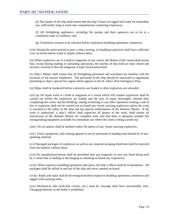(e) The master of the ship shall ensure that the ship's hoses are rigged and ready for immediate use, sufficiently long to reach into compartments containing explosives;

(f) All firefighting appliances, including fire pumps and their operators are to be in a continuous state of readiness; and

(g) Ventilation systems to be checked before explosives handling operations commence.

(viii) During the entire period in port, a ship carrying, or handling explosives shall have sufficient crew on board and be ready to depart without delay.

(ix) When explosives are in a hold or magazine of any vessel, the Master of the vessel shall ensure that, except during loading or unloading operations, the hatches of that hold are kept closed and securely covered or that the magazine is kept closed and locked.

(x) Ship's Master shall ensure that all firefighting personnel and watchmen are familiar with the locations of the nearest telephones. The personnel of the ship should be instructed in regulations pertaining to ship's special fire signal which appears in the St. John's Port Emergency Plan.

(xi) Ships shall be bunkered before explosives are loaded or after explosives are unloaded.

(xii) (a) All repair work in a hold or magazine of a vessel which will contain explosives shall be carried out before the explosives are loaded and the area of repair thoroughly cleaned after completing this work; and (b) Welding, cutting or burning or any other operation creating a risk of fire or explosion shall not be carried out on board any vessel carrying explosives unless the work is essential to the safety of the ship and has special authorization of the Harbour Master. If the work is authorized, a ship's officer shall supervise all phases of the work, shall ensure all instructions of the Harbour Master are complied with, and that there is adequate suitable fire extinguishing equipment available for immediate use where the work is being carried out.

(xiii) No oil tankers shall be berthed within 30 meters of any vessel carrying explosives.

(xiv) Tools, equipment, and wearing apparel in use by personnel in loading zone should be of nonsparking material.

(xv) Damaged packages of explosives as well as any material escaping therefrom shall be removed from the harbour without delay.

(xvi) No unauthorized person shall be permitted near any magazine or near any berth being used by a vessel that is loading or discharging or retaining on board any explosives.

(xvii) When explosive-handling operations take place, the ship's officer shall be in attendance. All packages shall be tallied in and out of the ship and never opened on board.

(xviii) Radio and radar shall be de-energized before explosive handling operations commence and tagged with warning notes.

(xix) Mechanical aids (fork-lifts, trucks, etc.) used for stowage shall have non-metallic tires. Changing batteries in the holds is prohibited.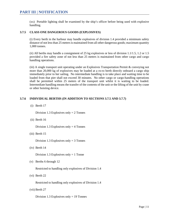(xx) Portable lighting shall be examined by the ship's officer before being used with explosive handling.

## **3.7.5 CLASS ONE DANGEROUS GOODS (EXPLOSIVES)**

(i) Every berth in the harbour may handle explosives of division 1.4 provided a minimum safety distance of not less than 25 meters is maintained from all other dangerous goods; maximum quantity 1,000 tonnes.

(ii) All berths may handle a consignment of 25 kg explosives or less of division 1.1/1.5, 1.2 or 1.5 provided a fire safety zone of not less than 25 meters is maintained from other cargo and cargo handling operations.

(iii) A single transport unit operating under an Explosives Transportation Permit & conveying not more than 20,000 kg of explosives may be loaded at a ro-ro berth directly onboard a cargo ship immediately prior to her sailing. No intermediate handling is to take place and waiting time to be loaded from that pier shall not exceed 30 minutes. No other cargo or cargo-handling operations shall be permitted within 25 meters of the transport unit whilst it is waiting to be loaded. Intermediate handling means the transfer of the contents of the unit or the lifting of the unit by crane or other hoisting device.

## **3.7.6 INDIVIDUAL BERTHS (IN ADDITION TO SECTIONS 3.7.5 AND 3.7.7)**

(i) Berth 17

Division 1.3 Explosives only  $= 2$  Tonnes

(ii) Berth 16

Division 1.3 Explosives only  $=$  4 Tonnes

(iii) Berth 15

Division 1.3 Explosives only  $=$  3 Tonnes

(iv) Berth 14

Division 1.3 Explosives only  $= 1$  Tonne

(v) Berths 6 through 12

Restricted to handling only explosives of Division 1.4

(vi) Berth 22

Restricted to handling only explosives of Division 1.4

(vii) Berth 27

Division 1.3 Explosives only  $= 19$  Tonnes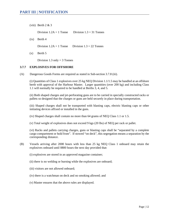(viii) Berth  $2 & 3$ 

Division  $1.2A = 1$  Tonne Division  $1.3 = 31$  Tonnes

(ix) Berth 4

Division  $1.2A = 1$  Tonne Division  $1.3 = 22$  Tonnes

 $(x)$  Berth 5

Division 1.3 only  $=$  3 Tonnes

#### **3.7.7 EXPLOSIVES FOR OFFSHORE**

(A) Dangerous Goods Forms are required as stated in Sub-section 3.7.8 (iii).

(i) Quantities of Class 1 explosives over 25 kg NEQ Division 1.1/1.5 may be handled at an offshore berth with approval of the Harbour Master. Larger quantities (over 200 kg) and including Class 1.1 will normally be required to be handled at Berths 3, 4, and 5.

(ii) Both shaped charges and jet-perforating guns are to be carried in specially constructed racks or pallets so designed that the charges or guns are held securely in place during transportation.

(iii) Shaped charges shall not be transported with blasting caps, electric blasting caps or other initiating devices affixed or installed in the guns.

(iv) Shaped charges shall contain no more than 64 grams of NEQ Class 1.1 or 1.5.

(v) Total weight of explosives does not exceed 9 kgs (20 lbs) of NEQ per rack or pallet.

(vi) Racks and pallets carrying charges, guns or blasting caps shall be "separated by a complete cargo compartment or hold from". If stowed "on deck", this segregation means a separation by the corresponding distance.

- (B) Vessels arriving after 2000 hours with less than 25 kg NEQ Class 1 onboard may retain the explosives onboard until 0800 hours the next day provided that:
	- (i) explosives are stored in an approved magazine container;
	- (ii) there is no welding or burning while the explosives are onboard;
	- (iii) visitors are not allowed onboard;
	- (iv) there is a watchman on deck and no smoking allowed; and
	- (v) Master ensures that the above rules are displayed.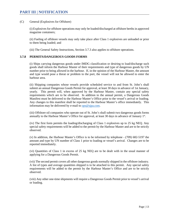#### (C) General (Explosives for Offshore)

(i) Explosives for offshore operations may only be loaded/discharged at offshore berths in approved magazine containers;

(ii) Fueling of offshore vessels may only take place after Class 1 explosives are unloaded or prior to them being loaded; and

(iii) The General Safety Instructions, Section 3.7.3 also applies to offshore operations.

#### **3.7.8 PERMITS/DANGEROUS GOODS FORMS**

(i) Ships carrying dangerous goods under IMDG classification or desiring to load/discharge such goods shall inform the Harbour Master of their requirements and type of dangerous goods by UN number prior to being allowed in the harbour. If, in the opinion of the Harbour Master, the amount and type would pose a threat or problem to the port, the vessel will not be allowed to enter the harbour area.

(ii) Shipping companies whose vessels provide scheduled service to and from St. John's shall submit an annual Dangerous Goods Permit for approval, at least 30 days in advance of 1st January, yearly. This permit will, when approved by the Harbour Master, contain any special safety requirements which are to be observed. In addition to the annual permit, a Dangerous Goods Manifest must be delivered to the Harbour Master's Office prior to the vessel's arrival or loading. Any changes to this manifest shall be reported to the Harbour Master's office immediately. This information may be delivered by e-mail to  $ops@sipa.com$ .

(iii) Offshore oil companies who operate out of St. John's shall submit two dangerous goods forms annually to the Harbour Master's Office for approval, at least 30 days in advance of January 1st.

(iv) The first form permits the loading/discharging of Class 1 explosives up to 25 kg NEQ. Any special safety requirements will be added to the permit by the Harbour Master and are to be strictly observed.

(v) In addition, the Harbour Master's Office is to be informed by telephone - (709) 682-5197 the amount and type by UN number of Class 1 prior to loading or vessel's arrival. Changes are to be reported immediately.

(vi) Quantities of Class 1 in excess of 25 kg NEQ are to be dealt with in the usual manner of applying for a Dangerous Goods Permit.

(vii) The second permit covers all other dangerous goods normally shipped in the offshore industry. A list of types and average quantities shipped is to be attached to this permit. Any special safety requirements will be added to the permit by the Harbour Master's Office and are to be strictly observed.

(viii) Any other one-time shipments will require a Dangerous Goods Permit prior to vessel's arrival or loading.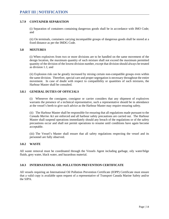## **3.7.9 CONTAINER SEPARATION**

(i) Separation of containers containing dangerous goods shall be in accordance with IMO Code; and

(ii) On terminals, containers carrying incompatible groups of dangerous goods shall be stored at a fixed distance as per the IMDG Code.

#### **3.8 MIXTURES**

(i) When explosives from two or more divisions are to be handled on the same movement of the design location, the maximum quantity of such mixture shall not exceed the maximum permitted quantity of the division of the lowest division number, except that division should always be treated as division 1.1; and

(ii) Explosion risk can be greatly increased by mixing certain non-compatible groups even within the same division. Therefore, special care and proper segregation is necessary throughout the entire movement. In case of doubt with respect to compatibility or quantities of such mixtures, the Harbour Master shall be consulted.

#### **3.8.1 GENERAL DUTIES OF OFFICIALS**

(i) Whenever the consignee, consignor or carrier considers that any shipment of explosives warrants the presence of a technical representative, such a representative should be in attendance at the vessel's berth to give such advice as the Harbour Master may require ensuring safety.

(ii) The Harbour Master shall be responsible for ensuring that all regulations made pursuant to the *Canada Marine Act* are enforced and all harbour safety precautions are carried out. The Harbour Master shall suspend operations immediately should any breach of the regulations or of the safety precautions occur and shall not permit operations to resume until conditions have again become acceptable.

(iii) The Vessel's Master shall ensure that all safety regulations respecting the vessel and its personnel are fully observed.

#### **3.8.2 WASTE**

All waste removal must be coordinated through the Vessels Agent including garbage, oily water/bilge fluids, grey water, black water, and hazardous material.

## **3.8.3 INTERNATIONAL OIL POLLUTION PREVENTION CERTIFICATE**

All vessels requiring an International Oil Pollution Prevention Certificate (IOPP) Certificate must ensure that a valid copy is available upon request of a representative of Transport Canada Marine Safety and/or the SJPA.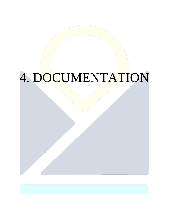## 4. DOCUMENTATION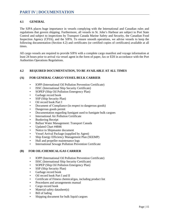## **4.1 GENERAL**

The SJPA places huge importance in vessels complying with the International and Canadian rules and regulations that govern shipping. Furthermore, all vessels in St. John's Harbour are subject to Port State Control and subject to inspections by Transport Canada Marine Safety and Security, the Canadian Food Inspection Agency (CFIA), and the SJPA. To ensure smooth operations, we advise vessels to keep the following documentation (Section 4.2) and certificates (or certified copies of certificates) available at all times.

All cargo vessels are required to provide SJPA with a complete cargo manifest and voyage information at least 24 hours prior to arrival via vessel agent in the form of paper, fax or EDI in accordance with the Port Authorities Operations Regulations.

## **4.2 REQUIRED DOCUMENTATION, TO BE AVAILABLE AT ALL TIMES**

## **(A) FOR GENERAL CARGO VESSEL/BULK CARRIER**

- IOPP (International Oil Pollution Prevention Certificate)
- ISSC (International Ship Security Certificate)
- SOPEP (Ship Oil Pollution Emergency Plan)
- Garbage record book
- SSP (Ship Security Plan)
- Oil record book Part I
- Document of Compliance (in respect to dangerous goods)
- Dangerous goods permit
- Documentation regarding fumigant used to fumigate bulk cargoes
- International Air Pollution Certificate
- **Bunkering Receipt**
- Ballast Water Management: Transport Canada
- Updated Chart #4846
- Notice to Shipmaster document
- Vessel Arrival Package (supplied by Agent)
- Ship Energy Efficiency Management Plan (SEEMP)
- Hull and propeller maintenance logs
- International Sewage Pollution Prevention Certificate

#### **(B) FOR OIL/CHEMICAL/GAS CARRIER**

- IOPP (International Oil Pollution Prevention Certificate)
- ISSC (International Ship Security Certificate)
- SOPEP (Ship Oil Pollution Emergency Plan)
- SSP (Ship Security Plan)
- Garbage record book
- Oil record book Part I and II
- Certificate of Fitness chemical/gas, including product list
- Procedures and arrangements manual
- Cargo record book
- Material safety datasheet(s)
- Bill of lading
- Shipping document for bulk liquid cargoes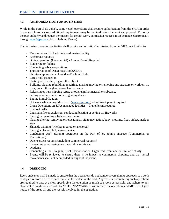## **4.3 AUTHORIZATION FOR ACTIVITIES**

While in the Port of St. John's, some vessel operations shall require authorization from the SJPA in order to proceed. In some cases, additional requirements may be required before the work can proceed. To notify the port authority and request permission for certain work, permission requests must be made electronically through [ops@sjpa.com](mailto:ops@sjpa.com) (Attn: Harbour Master).

The following operations/activities shall require authorization/permission from the SJPA, not limited to:

- Mooring at an SJPA administered marine facility
- Anchorage requests
- Diving operation (Commercial) Annual Permit Required
- Bunkering or fueling
- Conducting salvage operations
- Transportation of Dangerous Goods/CDCs
- Ship-to-ship transfers of solid and/or liquid bulk
- Cargo hold inspection
- Casting adrift a ship, log or other object
- Building, placing, rebuilding, repairing, altering, moving or removing any structure or work on, in, over, under, through or across land or water
- Releasing or transshipping refuse or other similar material or substance
- Setting of a flare and/or other signaling device
- Engine immobilization
- Hot work while alongside a berth [\(www.sjpa.com\)](http://www.sjpa.com/) Hot Work permit required
- Crane Operations on SJPA-managed facilities Crane Permit required
- Lifeboat drills
- Causing a fire or explosion, conducting blasting or setting off fireworks
- Placing or operating a light or day marker
- Placing, altering, removing or relocating an aid to navigation, buoy, mooring, float, picket, mark or sign
- Shipside painting (whether moored or anchored)
- Placing a placard, bill, sign or device
- Conducting UAV (Drone) operations in the Port of St. John's airspace (Commercial or Recreational)
- Other service requests (including commercial requests)
- Excavating or removing any material or substance
- Dredging
- Conducting a Race, Regatta, Trial, Demonstration, Organized Event and/or Similar Activity
- Events will be reviewed to ensure there is no impact to commercial shipping, and that vessel movements shall not be impeded throughout the event.

## **4.4 DREDGING**

Every endeavor shall be made to ensure that the operations do not hamper a vessel in its approach to a berth or departure from a berth or safe transit in the waters of the Port. Any vessels encountering such operations are required to pass at a slow speed, give the operation as much sea room as possible, and adhere to any "low wake" conditions set forth by MCTS. NAVWARN'S will refer to the operation, and MCTS will give notice of the areas of, and the vessels involved in, the operation.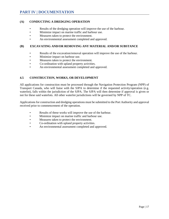## **(A) CONDUCTING A DREDGING OPERATION**

- Results of the dredging operation will improve the use of the harbour.
- Minimize impact on marine traffic and harbour use.
- Measures taken to protect the environment.
- An environmental assessment completed and approved.

## **(B) EXCAVATING AND/OR REMOVING ANY MATERIAL AND/OR SUBSTANCE**

- Results of the excavation/removal operation will improve the use of the harbour.
- Minimize impact on harbour use.
- Measures taken to protect the environment.
- Co-ordination with upland property activities.
- An environmental assessment completed and approved.

## **4.5 CONSTRUCTION, WORKS, OR DEVELOPMENT**

All applications for construction must be processed through the Navigation Protection Program (NPP) of Transport Canada, who will liaise with the SJPA to determine if the requested activity/operation (e.g. waterlot), falls within the jurisdiction of the SJPA. The SJPA will then determine if approval is given or not for these said waterlots. All other waterlot jurisdictions will be governed by NPP of TC.

Applications for construction and dredging operations must be submitted to the Port Authority and approval received prior to commencement of the operation.

- Results of these works will improve the use of the harbour.
- Minimize impact on marine traffic and harbour use.
- Measures taken to protect the environment.
- Co-ordination with upland property activities.
- An environmental assessment completed and approved.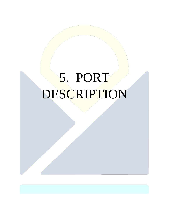# 5. PORT DESCRIPTION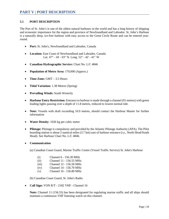## **5.1 PORT DESCRIPTION**

The Port of St. John's is one of the oldest natural harbours in the world and has a long history of shipping and economic importance for the region and province of Newfoundland and Labrador. St. John's Harbour is a naturally deep, ice-free harbour with easy access to the Great Circle Route and can be entered yearround.

- **Port:** St. John's, Newfoundland and Labrador, Canada
- **Location:** East Coast of Newfoundland and Labrador, Canada Lat. 47° - 34' - 03" N. Long. 52° - 42' - 41" W
- **Canadian Hydrographic Service:** Chart No. L/C 4846
- **Population of Metro Area:** 170,000 (Approx.)
- **Time Zone:** GMT 3.5 Hours
- **Tidal Variation:** 1.38 Metres (Spring)
- **Prevailing Winds:** South Westerly
- **Harbour Entry Restriction:** Entrance to harbour is made through a channel (91 metres) with green leading lights passing over a depth of 11.8 metres, reduced to lowest normal tide.
- **Note:** Vessels with draft exceeding 10.0 metres, should contact the Harbour Master for further information
- **Water Density**: 1026 kg per cubic metre
- **Pilotage:** Pilotage is compulsory and provided by the Atlantic Pilotage Authority (APA). The Pilot boarding station is about 2 nautical miles (3.7 km) east of harbour entrance (i.e., North Head/South Head). See Harbour Chart No. L/C 4846.
- **Communication**

(a) Canadian Coast Guard, Marine Traffic Centre (Vessel Traffic Service) St. John's Harbour

- (i) Channel 6 156.30 MHz
- (ii) Channel 11 156.55 MHz
- (iii) Channel 12 156.50 MHz
- (iv) Channel 14 156.70 MHz
- (v) Channel 16 156.80 MHz

(b) Canadian Coast Guard, St. John's Radio

• **Call Sign:** VON R/T - 2182 VHF - Channel 16

**Note:** Channel 11 (156.55) has been designated for regulating marine traffic and all ships should maintain a continuous VHF listening watch on this channel.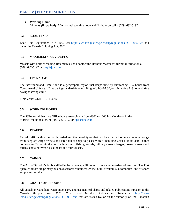## • **Working Hours**

24 hours (if required). After normal working hours call 24-hour on call – (709) 682-5197.

## **5.2 LOAD LINES**

Load Line Regulations (SOR/2007-99) <http://laws-lois.justice.gc.ca/eng/regulations/SOR-2007-99/> fall under the Canada Shipping Act, 2001.

## **5.3 MAXIMUM SIZE VESSELS**

Vessels with draft exceeding 10.0 metres, shall contact the Harbour Master for further information at (709) 682-5197 or [ops@sjpa.com.](mailto:ops@sjpa.com)

## **5.4 TIME ZONE**

The Newfoundland Time Zone is a geographic region that keeps time by subtracting  $3\frac{1}{2}$  hours from Coordinated Universal Time during standard time, resulting in UTC−03:30; or subtracting 2 <sup>1</sup>/<sub>2</sub> hours during daylight savings time.

Time Zone: GMT – 3.5 Hours

## **5.5 WORKING HOURS**

The SJPA Administrative Office hours are typically from 0800 to 1600 hrs Monday – Friday. Marine Operations (24/7) (709) 682-5197 or [ops@sjpa.com.](mailto:ops@sjpa.com)

#### **5.6 TRAFFIC**

Vessel traffic within the port is varied and the vessel types that can be expected to be encountered range from deep sea cargo vessels and large cruise ships to pleasure craft including vessels under oars. Other common traffic within the port includes tugs, fishing vessels, military vessels, barges, coastal vessels and ferries, container vessels, sailboats and tour vessels.

#### **5.7 CARGO**

The Port of St. John's is diversified in the cargo capabilities and offers a wide variety of services. The Port operates across six primary business sectors; containers, cruise, bulk, breakbulk, automobiles, and offshore supply and service.

## **5.8 CHARTS AND BOOKS**

All vessels in Canadian waters must carry and use nautical charts and related publications pursuant to the Canada Shipping Act, 2001, Charts and Nautical Publications Regulations [http://laws](http://laws-lois.justice.gc.ca/eng/regulations/SOR-95-149/)[lois.justice.gc.ca/eng/regulations/SOR-95-149/,](http://laws-lois.justice.gc.ca/eng/regulations/SOR-95-149/) that are issued by, or on the authority of, the Canadian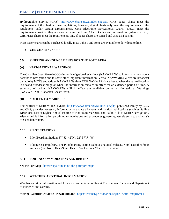Hydrographic Service (CHS) [http://www.charts.gc.ca/index-eng.asp.](http://www.charts.gc.ca/index-eng.asp) CHS paper charts meet the requirements of the chart carriage regulations; however, digital charts only meet the requirements of the regulations under certain circumstances. CHS Electronic Navigational Charts (ENCs) meet the requirements provided they are used with an Electronic Chart Display and Information System (ECDIS). CHS raster charts meet the requirements only if paper charts are carried and used as a backup.

Most paper charts can be purchased locally in St. John's and some are available to download online.

## • **CHS CHARTS** / # 4846

## **5.9 SHIPPING ANNOUNCEMENTS FOR THE PORT AREA**

#### **(A) NAVIGATIONAL WARNINGS**

The Canadian Coast Guard (CCG) issues Navigational Warnings (NAVWARNs) to inform mariners about hazards to navigation and to share other important information. Verbal NAVWARNs alerts are broadcast by radio by MCTS and written NAVWARNs alerts CCG NAVWARNs are issued when the hazard location is beyond broadcast range or when the information remains in effect for an extended period of time. A summary of written NAVWARNs still in effect are available online at Navigational Warnings (NAVWARNs) - Canadian Coast Guard.

## **(B) NOTICES TO MARINERS**

The Notices to Mariners (NOTMAR) [https://www.notmar.gc.ca/index-en.php,](https://www.notmar.gc.ca/index-en.php) published jointly by CCG and CHS, provides necessary information to update all charts and nautical publications (such as Sailing Directions, List of Lights, Annual Edition of Notices to Mariners, and Radio Aids to Marine Navigation). Also issued is information pertaining to regulations and procedures governing vessels entry to and transit of Canadian waters.

#### **5.10 PILOT STATIONS**

- Pilot Boarding Station: 47° 33′ 42″N / 52° 37′ 54″W
- Pilotage is compulsory. The Pilot boarding station is about 2 nautical miles (3.7 km) east of harbour entrance (i.e., North Head/South Head). See Harbour Chart No. L/C 4846.

## **5.11 PORT ACCOMMODATION AND BERTHS**

See the Port Map - <https://sjpa.com/about-the-port/port-map/>

## **5.12 WEATHER AND TIDAL INFORMATION**

Weather and tidal information and forecasts can be found online at Environment Canada and Department of Fisheries and Oceans.

#### **Marine Weather- Atlantic - Newfoundland:**[https://weather.gc.ca/marine/region\\_e.html?mapID=14](https://weather.gc.ca/marine/region_e.html?mapID=14)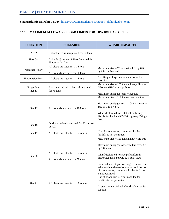## **PART V | PORT DESCRIPTION**

**SmartAtlantic St. John's Buoy:** [https://www.smartatlantic.ca/station\\_alt.html?id=stjohns](https://www.smartatlantic.ca/station_alt.html?id=stjohns)

## **5.13 MAXIMUM ALLOWABLE LOAD LIMITS FOR SJPA BOLLARDS/PIERS**

| <b>LOCATION</b>                  | <b>BOLLARDS</b>                                                          | <b>WHARF CAPACITY</b>                                                                                                                                        |
|----------------------------------|--------------------------------------------------------------------------|--------------------------------------------------------------------------------------------------------------------------------------------------------------|
| Pier 2                           | Bollard @ ro-ro ramp rated for 50 tons                                   |                                                                                                                                                              |
| Piers 3/4                        | Bollards @ corner of Piers 3-4 rated for<br>25 tons (sf of 2.0)          |                                                                                                                                                              |
| Marginal Wharf                   | All cleats are rated for 11.5 tons<br>All bollards are rated for 50 tons | Max crane size $= 75$ tons with 4 ft. by 6 ft.<br>by 6 in. timber pads                                                                                       |
| Harbourside Park                 | All cleats are rated for 11.5 tons                                       | No lifting or larger commercial vehicles<br>permitted                                                                                                        |
| <b>Finger Pier</b><br>( Pier 17) | Both land and wharf bollards are rated<br>for 75 tons                    | Max crane size $= 135$ tons in heavy lift area<br>(180 ton MHC is acceptable)                                                                                |
|                                  |                                                                          | Maximum outrigger loads $=$ 329 kpa                                                                                                                          |
|                                  |                                                                          | Max crane size $= 150$ tons at any location                                                                                                                  |
| Pier 17                          | All bollards are rated for 100 tons                                      | Maximum outrigger $load = 1000$ kpa over an<br>area of 3 ft. by 3 ft.                                                                                        |
|                                  |                                                                          | Wharf deck rated for 1000 psf uniformly<br>distributed load and CS600 Highway Bridge<br>Load                                                                 |
| Pier 18                          | Onshore bollards are rated for 60 tons (sf<br>of $4.0$ )                 |                                                                                                                                                              |
| Pier 19                          | All cleats are rated for 11.5 tonnes                                     | Use of boom trucks, cranes and loaded<br>forklifts is not permitted                                                                                          |
|                                  |                                                                          | Max crane size $= 150$ tons in heavy lift area                                                                                                               |
|                                  |                                                                          | Maximum outrigger loads = $650$ kn over 3 ft.<br>by 3 ft. area                                                                                               |
| Pier 20                          | All cleats are rated for 11.5 tonnes                                     | Wharf deck rated for 500 psf uniformly                                                                                                                       |
|                                  | All bollards are rated for 50 tons                                       | distributed load and CL-525 truck load                                                                                                                       |
|                                  |                                                                          | On wooden deck portion, larger commercial<br>vehicles should exercise caution and the use<br>of boom trucks, cranes and loaded forklifts<br>is not permitted |
| Pier 21                          | All cleats are rated for 11.5 tonnes                                     | Use of boom trucks, cranes and loaded<br>forklifts is not permitted                                                                                          |
|                                  |                                                                          | Larger commercial vehicles should exercise<br>caution                                                                                                        |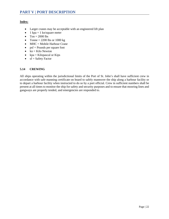## **Index:**

- Larger cranes may be acceptable with an engineered lift plan
- 1 kpa = 1 kn/square meter
- Ton  $= 2000$  lbs
- Tonne =  $2200$  lbs or  $1000$  kg
- MHC = Mobile Harbour Crane
- $psf =$  Pounds per square foot
- $kn =$  Kilo Newton
- $kpa = Kilopascal$  or Kips
- $sf = Safety Factor$

## **5.14 CREWING**

All ships operating within the jurisdictional limits of the Port of St. John's shall have sufficient crew in accordance with safe manning certificate on board to safely maneuver the ship along a harbour facility or to depart a harbour facility when instructed to do so by a port official. Crew in sufficient numbers shall be present at all times to monitor the ship for safety and security purposes and to ensure that mooring lines and gangways are properly tended, and emergencies are responded to.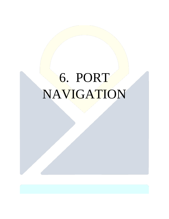# 6. PORT NAVIGATION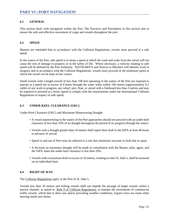## **6.1 GENERAL**

This section deals with navigation within the Port. The Practices and Procedures in this section aim to ensure the safe and effective movement of cargo and vessels throughout the port.

#### **6.2 SPEED**

Masters are reminded that in accordance with the Collision Regulations, vessels must proceed at a safe speed.

In the waters of the Port, safe speed is to mean a speed at which the wash and wake from the vessel will not cause the risk of damage to property or to the safety of life. Where necessary, a velocity relating to safe speed will be defined by the Port Authority. NAVWARN'S and Notices to Mariners will identify work in progress and in accordance with the Collision Regulations, vessels must proceed at the minimum speed at which the vessel can be kept on her course.

Small vessels with a length overall of less than 100 feet operating in the waters of the Port are required to operate at a speed not in excess of 8 knots through the water when within 100 metres (approximately 0.5 cable) of any work in progress, any wharf, pier, float, or vessel with a freeboard less than 2 metres and may be required to proceed at a lesser speed to comply with the requirements under the International Collision Regulations in respect of safe speed.

## **6.3 UNDER-KEEL CLEARANCE (UKC)**

Under-Keel Clearance (UKC) and Maximum Maneuvering Draught

- A vessel maneuvering in the waters of the Port approaches should not proceed with an under-keel clearance of less than 10% of its draught throughout the period of its progress through the waters.
- Vessels with a draught greater than 10 metres shall report their draft to the SJPA at least 48 hours in advance of arrival.
- Speed in and out of Port must be reduced to a rate that minimizes increase in draft due to squat.
- A decision on maximum draught will be made in consultation with the Master, pilot, agent, and the SJPA when the under-keel clearance is less than 10%.
- Vessels with a maximum draft in excess of 10 metres, wishing to enter St. John's, shall be assessed on an individual basis.

#### **6.4 RIGHT OF WAY**

The Collision Regulations apply in the Port of St. John's.

Vessels less than 20 metres and fishing vessels shall not impede the passage of larger vessels within a narrow channel, as stated in Rule 9 of Collision Regulations, or hamper the movements of commercial traffic vessels, which due to their size and/or prevailing weather conditions, require extra sea room when moving inside port limits.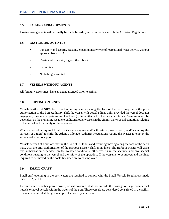## **6.5 PASSING ARRANGEMENTS**

Passing arrangements will normally be made by radio, and in accordance with the Collision Regulations.

#### **6.6 RESTRICTED ACTIVITY**

- For safety and security reasons, engaging in any type of recreational water activity without approval from SJPA.
- Casting adrift a ship, log or other object.
- Swimming
- No fishing permitted

## **6.7 VESSELS WITHOUT AGENTS**

All foreign vessels must have an agent arranged prior to arrival.

## **6.8 SHIFTING ON LINES**

Vessels berthed at SJPA berths and requiring a move along the face of the berth may, with the prior authorization of the Port Authority, shift the vessel with vessel's lines only, provided the vessel does not engage any propulsion systems and has three (3) lines attached to the pier at all times. Permission will be dependent on the prevailing weather conditions, other vessels in the vicinity, any special conditions relating to the vessel and the safety of the operation.

Where a vessel is required to utilize its main engines and/or thrusters (bow or stern) and/or employ the services of a tug(s) to shift, the Atlantic Pilotage Authority Regulations require the Master to employ the services of a harbour pilot.

Vessels berthed at a pier or wharf in the Port of St. John's and requiring moving along the face of the berth may, with the prior authorization of the Harbour Master, shift on its lines. The Harbour Master will grant this authorization dependent on the weather conditions, other vessels in the vicinity, and any special conditions relating to the vessel and the safety of the operation. If the vessel is to be moved and the lines required to be moved on the dock, linesmen are to be employed.

## **6.9 SMALL CRAFT**

Small craft operating in the port waters are required to comply with the Small Vessels Regulations made under CSA, 2001.

Pleasure craft, whether power driven, or sail powered, shall not impede the passage of large commercial vessels or naval vessels within the waters of the port. These vessels are considered constricted in the ability to maneuver and shall be given ample clearance by small craft.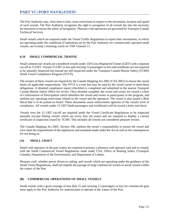The Port Authority may, from time to time, issue restrictions in respect to the movement, location and speed of such vessels. The Port Authority recognizes the right to navigation of all vessels but also the necessity for measures to ensure the safety of navigation. Pleasure craft operations are governed by Transport Canada Technical Services.

Small vessels which are required under the Vessel Traffic Regulations to report their movements, or which are operating under the conditions of operations set by the Port Authority for commercially operated small vessels, are to keep a listening watch on VHF Channel 11.

## **6.10 SMALL COMMERCIAL TRAFFIC**

Small commercial vessels are considered vessels under 150 Gross Registered Tonnes (GRT) with a separate cut-off at 15 GRT. Vessels 15 GRT or less and carrying 12 passengers or less and workboats are not required to be annually inspected but instead are self-inspected under the Transport Canada Marine Safety (TCMS) Small Vessel Compliance Program (SVCP).

The owners of these vessels are required by the Canada Shipping Act 2001 (CSA 2001) to ensure the vessel meets all applicable requirements. The SVCP is a tool that may be used by the vessel owner to meet these obligations. A detailed compliance report (checklist) is completed and submitted to the nearest Transport Canada Marine Safety Office for review. Once deemed complete, the vessel and owner are issued a Letter of Confirmation of Participation which identifies the vessel and owner as participants in the program, and outlines any operating restrictions related to the vessel and the operation. The vessel is also issued a Blue Decal that is to be posted on board. These documents assist enforcement agencies of the vessels level of compliance. All vessels under 15 GRT (both passengers and workboats) will be issued a letter and decal.

Vessels over the 15 GRT cut-off are required under the Vessel Certificate Regulations to be inspected annually (except fishing vessels which are every four (4) years) and are required to display a current certificate of inspection issued by TCMS. This includes all vessels not considered pleasure vessels.

The Canada Shipping Act 2001, Section 106, outlines the owner's responsibility to ensure the vessel and crew meet the requirements of the regulations and standards made under the Act as well as the consequences for not doing so.

## **(A) SMALL CRAFT**

Small craft operators in the port waters are required to possess a pleasure craft operator card and to comply with the Small Commercial Vessel Regulations made under CSA, Office of Boating Safety (Transport Canada), Department of the Environment, and Department of Labour.

Pleasure craft, whether power driven or sailing, and vessels which are operating under the guidance of the Small Vessel Regulations, shall not impede the passage of large commercial vessels or naval vessels within the waters of the Port.

## **(B) COMMERCIAL OPERATIONS OF SMALL VESSELS**

Small vessels with a gross tonnage of less than 15 and carrying 12 passengers or less for commercial gain must apply to the Port Authority for authorization to operate in the waters of the Port.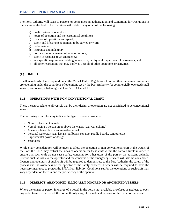The Port Authority will issue to persons or companies an authorization and Conditions for Operations in the waters of the Port. The conditions will relate to any or all of the following:

- a) qualifications of operators;
- b) hours of operation and meteorological conditions;
- c) location of operations and speed;
- d) safety and lifesaving equipment to be carried or worn;
- e) radio watches;
- f) insurance and indemnity;
- g) notification to passenger of location of tour;
- h) safety in response to an emergency;
- i) any specific requirement relating to age, size, or physical impairment of passengers; and
- j) all other restrictions that may apply as a result of other operations or activities.

#### **(C) RADIO**

Small vessels which are required under the Vessel Traffic Regulations to report their movements or which are operating under the conditions of operations set by the Port Authority for commercially operated small vessels, are to keep a listening watch on VHF Channel 11.

## **6.11 OPERATIONS WITH NON-CONVENTIONAL CRAFT**

These measures relate to all vessels that by their design or operation are not considered to be conventional vessels.

The following examples may indicate the type of vessel considered:

- Non-displacement vessels
- Vessel towing a person on or above the waters (e.g. waterskiing)
- A semi-submersible or submersible vessel
- Personal watercraft (e.g. kayaks, sailboats, sea-doo, paddle boards, canoes, etc.)
- Experimental power or design
- Seaplanes

While every consideration will be given to allow the operation of non-conventional craft in the waters of the Port, the SJPA may restrict the areas of operation for these craft within the harbour limits in order to ensure that such craft do not cause safety concerns for other users of the port or the adjacent uplands. Criteria such as risks to the operator and the concerns of the emergency services will also be considered. Owners and operators of such craft will be required to demonstrate to the Port Authority the safety of the process and the awareness of the operator of the safety concerns. Owners will be required to have the necessary insurance to protect the SJPA from liability. Conditions set for the operations of such craft may vary dependent on the risk and the proficiency of the operator.

## **6.12 DERELICT, ABANDONED, ILLEGALLY MOORED OR ANCHORED VESSELS**

Where the owner or person in charge of a vessel in the port is not available or refuses or neglects to obey any order to move the vessel, the port authority may, at the risk and expense of the owner of the vessel: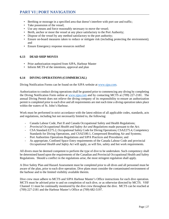- Berthing or moorage in a specified area that doesn't interfere with port use and traffic;
- Take possession of the vessel;
- Use any means and force reasonably necessary to move the vessel;
- Berth, anchor or moor the vessel at any place satisfactory to the Port Authority;
- Dispose of the vessel by any method satisfactory to the port authority;
- Ensure on-board measures taken to reduce or mitigate risk (including protecting the environment); and
- Ensure Emergency response resources notified

#### **6.13 DEAD SHIP MOVES**

- Prior authorization required from SJPA, Harbour Master
- Inform MCTS of the intentions, approval and plan

## **6.14 DIVING OPERATIONS (COMMERCIAL)**

Diving Notification Forms can be found on the SJPA website at [www.sjpa.com.](http://www.sjpa.com/)

Authorization to conduct diving operations shall be granted prior to commencing any diving by completing the Diving Notification Form online at [www.sjpa.com](http://www.sjpa.com/) and by contacting MCTS at (709) 227-2181. The annual Diving Permit does not relieve the diving company of its responsibility to ensure an authorization permit is completed prior to each dive and all requirements are met each time a diving operation takes place within the waters of St. John's Harbour.

Work must be performed in strict accordance with the latest edition of all applicable codes, standards, acts and regulations, including but not necessarily limited to, the following:

- Canada Labour Code, Part II and Canada Occupational Safety and Health Regulations;
- *Provincial Occupational Health and Safety Act and Regulations* made pursuant to the *Act*;
- CSA Standard Z275.2, Occupational Safety Code for Diving Operations; CSAZ275.4, Competency Standards for Diving Operations, and CSAZ180.1, Compressed Breathing Air and Systems;
- Port Authorities Operations Regulations and SJPA Practices and Procedures; and
- As appropriate, Confined Space Entry requirements of the Canada Labour Code and provincial *Occupational Health and Safety Act* will apply, as will fire, safety and hot work requirements.

All divers must be deemed competent to perform the type of dive to be undertaken. Such competency shall be determined based upon the requirements of the Canadian and Provincial Occupational Health and Safety Regulations. Should a conflict in the regulations arise, the most stringent regulation shall apply.

A Dive Safety Plan and Hazard Assessment must be completed prior to all dives and all personnel must be aware of the plan, prior to each dive operation. Dive plans must consider the contaminated environment of the harbour and to the limited visibility available therein.

Dive crew must adhere to MCTS and SJPA Harbour Master's Office instructions for each dive operation. MCTS must be advised prior to and on completion of each dive, or as otherwise directed by MCTS. VHF Channel 11 must be continually monitored by the dive crew throughout the dive. MCTS can be reached at (709) 227-2181 and the Harbour Master's Office at (709) 682-5197.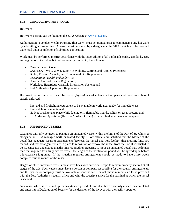## **6.15 CONDUCTING HOT-WORK**

#### Hot Work

Hot Work Permits can be found on the SJPA website at [www.sjpa.com.](file://SJPA-WIN151/shared/Krista/www.sjpa.com)

Authorization to conduct welding/burning (hot work) must be granted prior to commencing any hot work by submitting a form online. A permit must be signed by a designate at the SJPA, which will be received via e-mail upon completion of submitted application.

Work must be performed in strict accordance with the latest edition of all applicable codes, standards, acts, and regulations, including but not necessarily limited to, the following:

- Canada Labour Code;
- CAN/CSA W117.2-M87 Safety in Welding, Cutting, and Applied Processes;
- Boiler, Pressure Vessels, and Compressed Gas Regulations;
- *Occupational Health and Safety Act*;
- Canada Confined Spaces Regulations;
- Workplace Hazardous Materials Information System; and
- Port Authorities Operations Regulations

Hot Work permit must be issued by vessel (Agent/Owner/Captain) or Company and conditions thereof strictly enforced.

- First aid and firefighting equipment to be available in work area, ready for immediate use;
- Fire watch to be maintained;
- No Hot Work to take place while fueling or if flammable liquids, solids, or gases present; and
- SJPA Marine Operations (Harbour Master's Office) to be notified when work is completed.

#### **6.16 UNMANNED VESSELS**

Clearance will only be given to position an unmanned vessel within the limits of the Port of St. John's or alongside an SJPA-managed berth or leased facility if Port officials are satisfied that the Master of the vessel has adequate securing arrangements between the vessel and Port facility, that mooring lines are tended, and that arrangements are in place to reposition or remove the vessel from the Port if instructed to do so. Since it is understood that the time required for preparing to move an unmanned vessel may be longer than that required for a fully crewed vessel, the length of the notification period will be agreed upon before this clearance is granted. If the situation requires, arrangements should be made to have a fire watch complete routine rounds of the vessel.

Barges or other unmanned vessels must have lines with sufficient scope to remain properly secured at all stages of the tide. Such vessels must have a person or company responsible for the security arrangements, and this person or company must be available at short notice. Contact phone numbers are to be provided with the Port Authority's security office and with the security service for the terminal at which the vessel is secured.

Any vessel which is to be laid up for an extended period of time shall have a security inspection completed and enter into a Declaration of Security for the duration of the layover with the facility operator.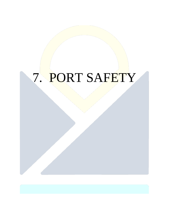## 7. PORT SAFETY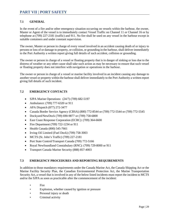## **7.1 GENERAL**

In the event of a fire and/or other emergency situation occurring on vessels within the harbour, the owner, Master or Agent of the vessel is to immediately contact Vessel Traffic on Channel 11 or Channel 16 or by telephone at (709) 227-2181 (traffic) and 911. No fire shall be used on any vessel in the harbour except in suitable containers and under constant supervision.

The owner, Master or person in charge of every vessel involved in an accident causing death of or injury to persons or loss of or damage to property, or collision, or grounding in the harbour, shall deliver immediately to the Port Authority a written report giving full details of such accident, collision or grounding.

The owner or person in charge of a vessel or floating property that is in danger of sinking or loss due to the distress of weather or any other cause shall take such action as may be necessary to ensure that such vessel or floating property does not interfere with navigation or operations in the harbour.

The owner or person in charge of a vessel or marine facility involved in an incident causing any damage to another vessel or property within the harbour shall deliver immediately to the Port Authority a written report giving full details of such incident.

## **7.2 EMERGENCY CONTACTS**

- SJPA Marine Operations:  $(24/7)$  (709) 682-5197
- Ambulance: (709) 777-6320 or 911
- APA Dispatch (877) 272-3477
- Canada Border Service Agency (CBSA) (800) 772-8544 or (709) 772-5544 or (709) 772-5545
- Dockyard/NewDock (709) 690-9877 or (709) 758-6800
- East Coast Response Corporation (ECRC): (709) 364-6600
- Fire Department (709) 722-1234 or 911
- Health Canada (800) 545-7661
- Irving Oil Limited (Fuel Dock) (709) 758-3003
- MCTS (St. John's Traffic) (709) 227-2181
- Port State Control/Transport Canada (709) 772-5166
- Royal Newfoundland Constabulary (RNC): (709) 729-8000 or 911
- Transport Canada Marine Security (888) 857-4003

## **7.3 EMERGENCY PROCEDURES AND REPORTING REQUIREMENTS**

In addition to those mandatory requirements under the Canada Marine Act, the Canada Shipping Act or the Marine Facility Security Plan, the Canadian Environmental Protection Act, the Marine Transportation Security Act, a vessel that is involved in any of the below listed incidents must report the incident to MCTS and/or the SJPA as soon as practicable after the commencement of the incident:

- **Fire**
- Explosion, whether caused by ignition or pressure
- Personal injury or death
- Criminal activity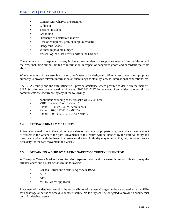## **PART VII | PORT SAFETY**

- Contact with wharves or structures
- Collision
- Terrorist incident
- Grounding
- Discharge of deleterious matters
- Loss of equipment, gear, or cargo overboard
- Dangerous Goods
- Witness to possible jumper
- Vessel, log, or other debris adrift in the harbour

The emergency first responders to any incident must be given all support necessary from the Master and the crew including but not limited to information in respect of dangerous goods and hazardous materials aboard.

Where the safety of the vessel is a concern, the Master or his designated officer, must contact the appropriate authority to provide relevant information on such things as stability, access, international connections, etc.

The SJPA security and the duty officer will provide assistance where possible to deal with the incident. SJPA Security may be contacted by phone at: (709) 682-5197. In the event of an incident, the vessel may communicate the occurrence by any of the following:

- continuous sounding of the vessel's whistle or siren
- VHF (Channel 11 or Channel 16)
- Phone: 911 (Fire, Police, Ambulance)
- Phone: (709) 227-2181 (MCTS)
- Phone: (709) 682-5197 (SJPA Security)

#### **7.4 EXTRAORDINARY MEASURES**

Potential or actual risks to the environment, safety of personnel or property, may necessitate the movement of vessels in the waters of the port. Movements of this nature will be directed by the Port Authority and must be complied with. In these circumstances, the Port Authority may order a pilot, tugs, or other service necessary for the safe movement of a vessel.

#### **7.5 DETAINING A SHIP BY MARINE SAFETY/SECURITY INSPECTOR**

A Transport Canada Marine Safety/Security Inspector who detains a vessel is responsible to convey the circumstances and his/her actions to the following:

- Canada Border and Security Agency (CBSA)
- SJPA
- APA
- MCTS (where applicable)

Placement of the detained vessel is the responsibility of the vessel's agent to be negotiated with the SJPA for anchorage or berths or access to another facility. No facility shall be obligated to provide a commercial berth for detained vessels.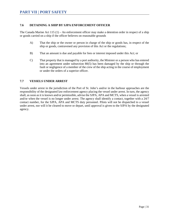## **7.6 DETAINING A SHIP BY SJPA ENFORCEMENT OFFICER**

The Canada Marine Act 115 (1) – An enforcement officer may make a detention order in respect of a ship or goods carried on a ship if the officer believes on reasonable grounds

- A) That the ship or the owner or person in charge of the ship or goods has, in respect of the ship or goods, contravened any provision of this Act or the regulations;
- B) That an amount is due and payable for fees or interest imposed under this Act; or
- C) That property that is managed by a port authority, the Minister or a person who has entered into an agreement under subsection 80(5) has been damaged by the ship or through the fault or negligence of a member of the crew of the ship acting in the course of employment or under the orders of a superior officer.

## **7.7 VESSELS UNDER ARREST**

Vessels under arrest in the jurisdiction of the Port of St. John's and/or in the harbour approaches are the responsibility of the designated law enforcement agency placing the vessel under arrest. In turn, the agency shall, as soon as it is known and/or permissible, advise the SJPA, APA and MCTS, when a vessel is arrested and/or when the vessel is no longer under arrest. The agency shall identify a contact, together with a 24/7 contact number, for the SJPA, APA and MCTS duty personnel. Pilots will not be dispatched to a vessel under arrest, nor will it be cleared to move or depart, until approval is given to the SJPA by the designated agency.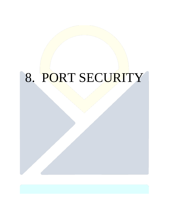# 8. PORT SECURITY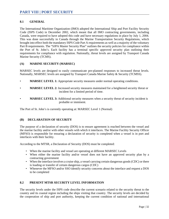## **8.1 GENERAL**

The International Maritime Organization (IMO) adopted the International Ship and Port Facility Security Code (ISPS Code) in December 2002, which meant that all IMO contracting governments, including Canada, were required to have adopted this code and have necessary regulations in place by July 1, 2004. This was done successfully in Canada through the Marine Transportation Security Regulations, which brought into effect both the mandatory ISPS Code Part A requirements as well as a majority of the voluntary Part B requirements. The "SJPA Master Security Plan" outlines the security policies for compliance within the Port of St. John's. Each facility has a terminal specific approved security plan outlining their requirements for compliance with regulation. Nationally, threat levels are assigned by Transport Canada Marine Security (TCMS).

## **(A) MARINE SECURITY (MARSEC)**

MARSEC levels are designed to easily communicate pre-planned responses to increased threat levels. Nationally, MARSEC levels are assigned by Transport Canada Marine Safety & Security (TCMSS).

- **MARSEC LEVEL 1:** Appropriate security measures under normal operating conditions.
- **MARSEC LEVEL 2:** Increased security measures maintained for a heightened security threat or incident for a limited period of time.
- **MARSEC LEVEL 3:** Additional security measures when a security threat of security incident is probable or imminent.

The Port of St. John's is currently operating at: MARSEC Level 1 (Normal)

#### **(B) DECLARATION OF SECURITY**

The purpose of a declaration of security (DOS) is to ensure agreement is reached between the vessel and the marine facility and/or with other vessels with which it interfaces. The Marine Facility Security Officer (MFSO) is responsible for ensuring a declaration of security is completed when a vessel is in port and interfaces with their facility.

According to the MTSR, a Declaration of Security (DOS) must be completed:

- When the marine facility and vessel are operating at different MARSEC Levels
- When either the marine facility and/or vessel does not have an approved security plan by a contracting government
- When the interface involves a cruise ship, a vessel carrying certain dangerous goods (CDC) or there is loading or transfer of certain dangerous cargos (CDC)
- Whenever the MFSO and/or SSO identify security concerns about the interface and request a DOS to be completed

## **8.2 PRESENT MTSR SECURITY LEVEL INFORMATION**

The security levels under the ISPS code describe the current scenario related to the security threat to the country and its coastal region including the ships visiting that country. The security levels are decided by the cooperation of ship and port authority, keeping the current condition of national and international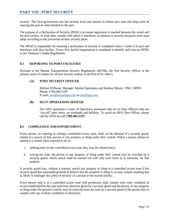security. The local government sets the security level and ensures to inform port state and ships prior to entering the port or when berthed in the port.

The purpose of a Declaration of Security (DOS) is to ensure agreement is reached between the vessel and the port facility, or with other vessels with which it interfaces, in relation to security measures each must adopt according to the provisions of their security plans.

The MFSO is responsible for ensuring a declaration of security is completed when a vessel is in port and interfaces with their facility. Every Port facility/organization is mandated to identify and train an MFSO as per Transport Canada Regulations.

## **8.3 REPORTING TO PORT FACILITIES**

Pursuant to the Marine Transportation Security Regulations (MTSR), the Port Security Officer is the primary point of contact for all port security matters in the Port of St. John's.

## **(A) PORT SECURITY OFFICER**

Melissa Williams, Manager, Marine Operations and Harbour Master / PSO / MFSO Phone: (709) 682-5197 E-mail[: mwilliams@sjpa.com](mailto:mwilliams@sjpa.com) or [ops@sjpa.com](mailto:ops@sjpa.com)

## **(B) DUTY OPERATIONS OFFICER**

The SJPA maintains a roster of Operations personnel who act as Duty Officers who are "on-call" after hours, on weekends and holidays. To reach an SJPA Duty Officer, please call the SJPA on-call (**709) 682-5197**.

#### **8.4 COMPLIANCE AND ENFORCEMENT**

Every person, on entering or exiting a controlled access zone, shall, on the demand of a security guard, submit to a search of their person or any property or thing under their control. Where a person refuses to submit to a search when required to do so;

- 1. seeking entry to the controlled access zone, they may be refused entry;
- 2. exiting the zone, the person or any property or thing under their control may be searched by a security guard, which search shall be carried out with only such force as is necessary for that purpose.

A security guard may, without a warrant, search any property or thing in a controlled access zone if the security guard has reasonable grounds to believe that the property or thing is, or may contain anything that is, likely to endanger the safety or security of a person or the marine facility.

Every person who is in a controlled access zone with permission shall comply with every condition of access established for the zone and every direction given by a security guard and the person, or any property or thing under the person's control, may be removed from the zone by a security guard if the person fails to comply with any of those conditions or directions.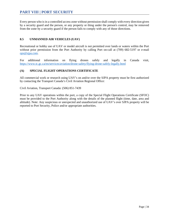Every person who is in a controlled access zone without permission shall comply with every direction given by a security guard and the person, or any property or thing under the person's control, may be removed from the zone by a security guard if the person fails to comply with any of those directions.

## **8.5 UNMANNED AIR VEHICLES (UAV)**

Recreational or hobby use of UAV or model aircraft is not permitted over lands or waters within the Port without prior permission from the Port Authority by calling Port on-call at (709) 682-5197 or e-mail [ops@sjpa.com.](mailto:ops@sjpa.com)

For additional information on flying drones safely and legally in Canada visit, <https://www.tc.gc.ca/en/services/aviation/drone-safety/flying-drone-safely-legally.html>

## **(A) SPECIAL FLIGHT OPERATIONS CERTIFICATE**

All commercial work or research using UAV's on and/or over the SJPA property must be first authorized by contacting the Transport Canada's Civil Aviation Regional Office:

Civil Aviation, Transport Canada: (506) 851-7439

Prior to any UAV operations within the port, a copy of the Special Flight Operations Certificate (SFOC) must be provided to the Port Authority along with the details of the planned flight (time, date, area and altitude). Note: Any suspicious or unexpected and unauthorized use of UAV's over SJPA property will be reported to Port Security, Police and/or appropriate authorities.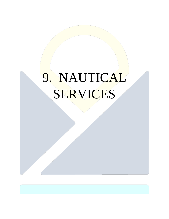# 9. NAUTICAL SERVICES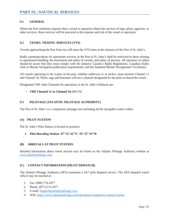## **9.1 GENERAL**

Where the Port Authority requires that a vessel or operation obtain the services of tugs, pilots, agencies, or other services, those services will be procured at the expense and risk of the vessel or operation.

## **9.2 VESSEL TRAFFIC SERVICES (VTS)**

Vessels approaching the Port from sea will enter the VTS lanes at the entrance of the Port of St. John's.

Radio communications for operations services in the Port of St. John's shall be restricted to those relating to operational handling, the movement and safety of vessels, and safety of persons. All operators of radios should be aware that they must comply with the Industry Canada's Radio Regulations, Canadian Radio Aids to Marine Navigation publication requirements, and the Standard Marine Navigational Vocabulary.

All vessels operating in the waters of the port, whether underway or at anchor, must monitor Channel 11 and Channel 16. Pilots, tugs and linesmen will use a channel designated by the pilot on board the vessel.

Designated VHF radio Channels for operations in the St. John's Harbour are:

• **VHF Channel 11 or Channel 16** (MCTS)

## **9.3 PILOTAGE (ATLANTIC PILOTAGE AUTHORITY)**

The Port of St. John's is a compulsory pilotage area including all the navigable waters within.

#### **(A) PILOT STATION**

The St. John's Pilot Station is located in position:

• **Pilot Boarding Station: 47° 33′ 42″N / 52° 37′ 54″W**

#### **(B) ARRIVALS AT PILOT STATION**

Detailed information about vessel arrivals may be found on the Atlantic Pilotage Authority website at [www.atlanticpilotage.com.](file://SJPA-WIN151/shared/Krista/www.atlanticpilotage.com)

#### **(C) CONTACT INFORMATION (PILOT DISPATCH)**

The Atlantic Pilotage Authority (APA) maintains a 24/7 pilot dispatch service. The APA dispatch watch officer may be reached at:

- 1. Fax: (866) 774-2477
- 2. Phone: (877) 272-3477
- 3. E-mail[: dispatch@atlanticpilotage.com](mailto:dispatch@atlanticpilotage.com)
- 4. Web:<https://www.atlanticpilotage.com/operations/compulsory-areas/st-johns/>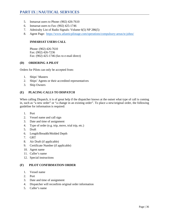- 5. Inmarsat users to Phone: (902) 426-7610
- 6. Inmarsat users to Fax: (902) 425-1746
- 7. Admiralty List of Radio Signals: Volume 6(5) NP 286(5)
- 8. Agent Page: <https://www.atlanticpilotage.com/operations/compulsory-areas/st-johns/>

## **INMARSAT USERS CALL**

Phone: (902) 426-7610 Fax: (902) 426-7236 Fax: (902) 425-1746 (fax to e-mail direct)

#### **(D) ORDERING A PILOT**

Orders for Pilots can only be accepted from:

- 1. Ships' Masters
- 2. Ships' Agents or their accredited representatives
- 3. Ship Owners

## **(E) PLACING CALLS TO DISPATCH**

When calling Dispatch, it is of great help if the dispatcher knows at the outset what type of call is coming in, such as "a new order" or "a change in an existing order". To place a new/original order, the following guideline for information is required:

- 1. Port
- 2. Vessel name and call sign
- 3. Date and time of assignment
- 4. Type of order (e.g. trip, move, trial trip, etc.)
- 5. Draft
- 6. Length/Breadth/Molded Depth
- 7. GRT
- 8. Air Draft (if applicable)
- 9. Certificate Number (if applicable)
- 10. Agent name
- 11. Caller's name
- 12. Special instructions

## **(F) PILOT CONFIRMATION ORDER**

- 1. Vessel name
- 2. Port
- 3. Date and time of assignment
- 4. Dispatcher will reconfirm original order information
- 5. Caller's name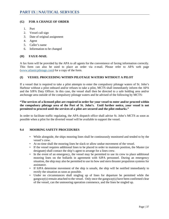## **(G) FOR A CHANGE OF ORDER**

- 1. Port
- 2. Vessel call sign
- 3. Date of original assignment
- 4. Agent
- 5. Caller's name
- 6. Information to be changed

## **(H) FAX/E-MAIL**

A fax form will be provided by the APA to all agents for the convenience of faxing information correctly. This form can also be used to place an order via e-mail. Please refer to APA web page [\(www.atlanticpilotage.com\)](http://www.atlanticpilotage.com/) for a copy of the form.

## **(I) VESSEL PROCEEDING WITHIN PILOTAGE WATERS WITHOUT A PILOT**

If a vessel that is required to take a pilot attempts to enter the compulsory pilotage waters of St. John's Harbour without a pilot onboard and/or refuses to take a pilot, MCTS shall immediately inform the APA and the SJPA Duty Officer. In this case, the vessel shall then be directed to a safe holding area and/or anchorage area outside of the compulsory pilotage waters and be advised of the following by MCTS:

## **"The services of a licensed pilot are required in order for your vessel to enter and/or proceed within the compulsory pilotage area of the Port of St. John's. Until further notice, your vessel is not permitted to proceed until the services of a pilot are secured and the pilot embarks."**

In order to facilitate traffic regulating, the APA dispatch office shall advise St. John's MCTS as soon as possible when a pilot for the diverted vessel will be available to support the vessel.

#### **9.4 MOORING SAFETY PROCEDURES**

- While alongside, the ships mooring lines shall be continuously monitored and tended to by the vessel's crew.
- At no time shall the mooring lines be slack or allow undue movement of the vessel.
- If the vessel requires additional lines to be placed in order to maintain position, the Master (or designate) shall contact the ship's agent to arrange for a lines crew.
- In the event of an emergency, the vessel may be permitted to use its crew to place additional mooring lines on the bollards in agreement with SJPA personnel. During an emergency situation, the ship may also be permitted to use its bow and stern thruster propulsion systems for assistance.
- If SJPA determine movement of the ship is unsafe, the ship will be notified immediately to rectify the situation as soon as possible.
- Under no circumstances shall singling up of lines for departure be permitted while the gangway(s) remain attached to the vessel. Only once the gangway(s) have been confirmed clear of the vessel, can the unmooring operation commence, and the lines be singled up.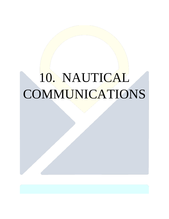# 10. NAUTICAL COMMUNICATIONS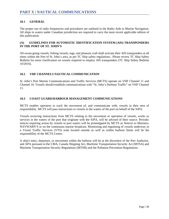## **10.1 GENERAL**

The proper use of radio frequencies and procedures are outlined in the Radio Aids to Marine Navigation. All ships in waters under Canadian jurisdiction are required to carry the most recent applicable edition of this publication.

## **(A) GUIDELINES FOR AUTOMATIC IDENTIFICATION SYSTEM (AIS) TRANSPONDERS IN THE PORT OF ST. JOHN'S**

All ocean-going vessels, fishing vessels, tugs, and pleasure craft shall activate their AIS transponders at all times within the Port of St. John's area, as per TC Ship safety regulations. Please review TC Ship Safety Bulletin for more clarification on vessels required to employ AIS transponders (TC Ship Safety Bulletin 10/2016).

## **10.2 VHF CHANNELS NAUTICAL COMMUNICATION**

St. John's Port Marine Communications and Traffic Services (MCTS) operate on VHF Channel 11 and Channel 16. Vessels should establish communications with "St. John's Harbour Traffic" on VHF Channel 11.

## **10.3 COAST GUARD/HARBOUR MANAGEMENT COMMUNICATIONS**

MCTS enables operators to track the movement of, and communicate with, vessels in their area of responsibility. MCTS will pass instructions to vessels in the waters of the port on behalf of the SJPA.

Vessels receiving instructions from MCTS relating to the movement or operation of vessels, works or services in the waters of the port that originate with the SJPA, will be advised of their source. Periodic notices requiring action by vessels in port waters will be promulgated by MCTS as Notices to Mariners, NAVWARN'S or on the continuous marine broadcast. Monitoring and regulating of vessels underway in a Vessel Traffic Services (VTS) zone located outside as well as within harbour limits will be the responsibility of the MCTS Centre.

A ship's entry, departure, or movement within the harbour will be at the discretion of the Port Authority, and APA pursuant to the CMA, Canada Shipping Act, Maritime Transportation Security Act (MTSA) and Maritime Transportation Security Regulations (MTSR) and the Pollution Prevention Regulations.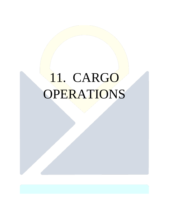# 11. CARGO **OPERATIONS**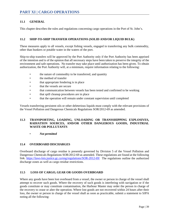## **PART XI | CARGO OPERATIONS**

## **11.1 GENERAL**

This chapter describes the rules and regulations concerning cargo operations in the Port of St. John's.

#### **11.2 SHIP-TO-SHIP TRANSFER OPERATIONS (SOLID AND/OR LIQUID BULK)**

These measures apply to all vessels, except fishing vessels, engaged in transferring any bulk commodity, other than bunkers or potable water in the waters of the port.

Ship-to-ship transfers will be approved by the Port Authority only if the Port Authority has been apprised of the intention and is of the opinion that all necessary steps have been taken to preserve the integrity of the environment and safe operations. No transfer may take place until authorization has been given. To obtain authorization, the Port Authority will, at a minimum, require information relating to the following:

- the nature of commodity to be transferred, and quantity
- the method of transfer
- that appropriate fendering is in place
- that the vessels are secure
- that communication between vessels has been tested and confirmed to be working
- that spill cleanup procedures are in place
- that the operation will remain under constant supervision until completed

Vessels transferring persistent oils or other deleterious liquids must comply with the relevant provisions of the Vessel Pollution and Dangerous Chemicals Regulations SOR/2012-69 as amended.

#### **11.3 TRANSPORTING, LOADING, UNLOADING OR TRANSSHIPPING EXPLOSIVES, RADIATION SOURCES, AND/OR OTHER DANGEROUS GOODS, INDUSTRIAL WASTE OR POLLUTANTS**

• *Not permitted*

#### **11.4 OVERBOARD DISCHARGES**

Overboard discharge of cargo residue is presently governed by Division 5 of the Vessel Pollution and Dangerous Chemicals Regulations SOR/2012-69 as amended. These regulations are found at the following link. <https://laws-lois.justice.gc.ca/eng/regulations/SOR-2012-69/> The regulations outline the authorized discharge zones as well as cargo residue restrictions.

#### **11.5 LOSS OF CARGO, GEAR OR GOODS OVERBOARD**

Where any goods have been lost overboard from a vessel, the owner or person in charge of the vessel shall attempt to recover such goods. Where the recovery of such goods is interfering with navigation or if the goods constitute or may constitute contamination, the Harbour Master may order the person in charge of the recovery to cease or alter the operation. Where lost goods are not recovered within 24 hours after their loss, the owner or person in charge of the vessel shall as soon as practicable, submit a statement to SJPA noting all the following: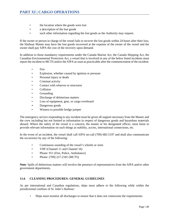- the location where the goods were lost
- a description of the lost goods
- such other information regarding the lost goods as the Authority may request.

If the owner or person in charge of the vessel fails to recover the lost goods within 24 hours after their loss, the Harbour Master may have the lost goods recovered at the expense of the owner of the vessel and the owner shall pay SJPA the cost of the recovery upon demand.

In addition to those mandatory requirements under the Canada Marine Act, the Canada Shipping Act, the Canadian Environmental Protection Act, a vessel that is involved in any of the below listed incidents must report the incident to MCTS and/or the SJPA as soon as practicable after the commencement of the incident:

- Fire
- Explosion, whether caused by ignition or pressure
- Personal injury or death
- Criminal activity
- Contact with wharves or structures
- Collision
- Grounding
- Discharge of deleterious matters
- Loss of equipment, gear, or cargo overboard
- Dangerous goods
- Witness to possible bridge jumper

The emergency service responding to any incident must be given all support necessary from the Master and the crew including but not limited to information in respect of dangerous goods and hazardous materials aboard. Where the safety of the vessel is a concern, the master or his designated officer, must liaise to provide relevant information on such things as stability, access, international connections, etc.

In the event of an incident, the vessel shall call SJPA on-call (709) 682-5197 and shall also communicate the occurrence by any of the following:

- Continuous sounding of the vessel's whistle or siren
- VHF (Channel 11 and Channel 16)
- Phone: 911 (Fire, Police, Ambulance)
- Phone: (709) 227-2181 (MCTS)

**Note**: Spills of deleterious matters will involve the presence of representatives from the SJPA and/or other government departments.

## **11.6 CLEANING PROCEDURES: GENERAL GUIDELINES**

As per international and Canadian regulations, ships must adhere to the following while within the jurisdictional confines of St. John's Harbour:

Ships must monitor all discharges to ensure that it does not contravene the requirements.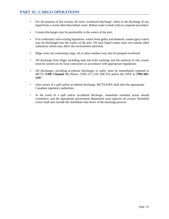- For the purpose of this section, the term 'overboard discharge' refers to the discharge of any liquid from a vessel other than ballast water. Ballast water is dealt with in a separate procedure.
- Certain discharges may be permissible in the waters of the port.
- If in conformity with existing legislation, waters from galley and domestic wastes (grey water) may be discharged into the waters of the port. All such liquid wastes must not contain other substances which may affect the environment adversely.
- Bilge water not containing cargo, oil or other residues may also be pumped overboard.
- All discharge from bilges including tank and hold washings and the removal of oily wastes must be carried out by local contractors in accordance with appropriate regulations.
- All discharges, including accidental discharges or spills, must be immediately reported to MCTS (**VHF Channel 11**) Phone: (709) 227-2181 (MCTS) and/or the SJPA at (**709) 682- 5197**.
- Once aware of a spill and/or accidental discharge, MCTS/SJPA shall alert the appropriate Canadian regulatory authorities.
- In the event of a spill and/or accidental discharge, immediate remedial action should commence, and the appropriate government department must approve all actions. Remedial action shall also include the immediate shut down of the discharge process.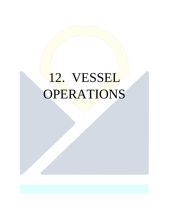# 12. VESSEL **OPERATIONS**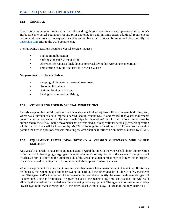## **12.1 GENERAL**

This section contains information on the rules and regulations regarding vessel operations in St. John's Harbour. Some vessel operations require prior authorization and, in some cases, additional requirements before work can proceed. A request for authorization from the SJPA can be submitted electronically via [ops@sjpa.com](mailto:ops@sjpa.com) prior to the work commencing.

The following operations require a Vessel Service Request:

- Engine Immobilization
- Shifting alongside without a pilot
- Other service requests (including commercial diving/hot work/crane operations)
- Transferring of Liquid Bulks/Fuel between vessels

*Not permitted* in St. John's Harbour:

- Pumping of black water (sewage) overboard.
- Use of an incinerator
- Bottom cleaning by brushes
- Fishing with nets or trap fishing

#### **12.2 VESSELS ENGAGED IN SPECIAL OPERATIONS**

Vessels engaged in special operations, such as (but not limited to) heavy lifts, core sample drilling, etc., where wake turbulence could impose a hazard, should contact MCTS and request that vessel movements be restricted or suspended in the area. Such "Special Operations" within the harbour limits must be authorized by the SJPA. Should movements not be restricted due to operational necessity, vessels operating within the harbour shall be informed by MCTS of the ongoing operations and told to exercise caution passing the area in question. Vessels transiting the area shall be informed on an individual basis by MCTS.

#### **12.3 EQUIPMENT PROTRUDING BEYOND A VESSELS OUTBOARD SIDE WHILE BERTHED**

Any vessel that needs to have its equipment extend beyond the sides of the vessel shall obtain authorization from the SJPA. No rigging, cargo gear or other equipment of any vessel in the waters of the port shall overhang or project beyond the outboard side of the vessel in a manner that may endanger life or property or cause a hazard to navigation. This requirement also applies to vessel's cranes.

When the equipment is swung out, it may impair other vessels from maneuvering in the vicinity. If this may be the case, the extending gear must be swung inboard until the other vessel(s) is able to safely maneuver past. The agent and/or the master of the maneuvering vessel shall notify the vessel with extended gear of its intentions. This notification shall be given as close to the maneuvering time as is practical and while still allowing the vessel with extended gear time to swing in the equipment. The agent and/or master must relay any change in the maneuvering times to the other vessel without delay. Failure to do so may incur costs.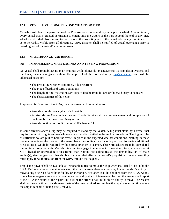## **12.4 VESSEL EXTENDING BEYOND WHARF OR PIER**

Vessels must obtain the permission of the Port Authority to extend beyond a pier or wharf. At a minimum, every vessel that is granted permission to extend into the waters of the port beyond the end of any pier, wharf, or jetty shall, from sunset to sunrise keep the projecting end of the vessel adequately illuminated so as to be readily visible from all directions. APA dispatch shall be notified of vessel overhangs prior to boarding vessel for arrival/departure/moves.

#### **12.5 MAINTENANCE AND REPAIR**

#### **(A) IMMOBILIZING MAIN ENGINES AND TESTING PROPULSION**

No vessel shall immobilize its main engines while alongside or engage/test its propulsion systems and machinery whilst alongside without the approval of the port authority [\(ops@sjpa.com\)](mailto:ops@sjpa.com) and will be addressed based on:

- The prevailing weather conditions, tide or current
- The type of berth and cargo operations
- The length of time the engines are expected to be immobilized or the machinery to be tested
- The characteristics of the vessel

If approval is given from the SJPA, then the vessel will be required to:

- Provide a continuous vigilant deck watch
- Advise Marine Communications and Traffic Services at the commencement and completion of the immobilization or machinery testing
- Provide continuous monitoring of VHF Channel 11

In some circumstances a tug may be required to stand by the vessel. A tug must stand by a vessel that requires immobilizing its engines while at anchor and is detailed in the anchor procedures. The tug must be of sufficient bollard pull to hold the vessel in place in the expected weather conditions. Nothing in these procedures relieves the master of the vessel from their obligations for safety or from following additional precautions as would be required by the normal practice of seamen. These procedures are to be considered the minimum requirements. Vessels intending to engage in equipment or machinery tests, at anchor or at SJPA leased or operated facilities (other than routine pre-sailing tests), the demobilization of main engine(s), steering gear or other shipboard system that affects the vessel's propulsion or maneuverability must apply for authorization from the SJPA through their agents.

Propulsion power shall be available at reasonable notice to move the ship when instructed to do so by the SJPA. Before any repairs, maintenance or other works are undertaken that may hinder the ship's ability to move along or clear of a harbour facility or anchorage, clearance shall be obtained from the SJPA. At any time when emergency repairs are commenced on a ship at a SJPA-managed facility, the master shall report to the SJPA the nature of the repairs and outline the effect it has on the ship's ability to move. The Master shall, at the same time, provide an estimate of the time required to complete the repairs to a condition where the ship is capable of being safely moved.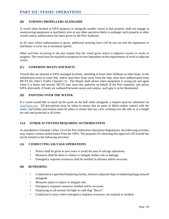## **(B) TURNING PROPELLERS ALONGSIDE**

A vessel when berthed at SJPA property or alongside another vessel at that property shall not engage in maneuvering equipment or machinery tests or any other operation likely to endanger such property or other vessels unless authorization has been given by the Port Authority.

In all cases where authorization is given, additional mooring lines will be run out and the equipment or machinery is to be run at minimum speeds.

Other activities occurring in the port require that the vessel gives notice to adjacent vessels or works in progress. The vessel may be required to postpone its tests dependent on the requirements of work or adjacent vessel.

## **(C) LOWERING BOATS AND RAFTS**

Vessels that are moored at SJPA-managed facilities, intending to lower their lifeboats or other boats, to the embarkation level or water line, and/or send their boats away from the ship, must have authorization from MCTS (St. John's Traffic Channel 11). The Master shall advise when equipment is swung out and again when it is home and stowed. MCTS may issue this authority on behalf of the Port Authority and advise SJPA afterwards. If boats are outboard between sunset and sunrise, such gear is to be illuminated.

## **(D) PAINTING OVER THE WATER**

If a vessel would like to touch up the paint on the hull while alongside, a request must be submitted via  $ops@sipa.com$ . All precautions must be taken to ensure that no paint or debris makes contact with the water, and further precautions must be taken to ensure that any crew working over the side or at a height are safe and protected at all times.

## **12.6 OTHER ACTIVITIES REQUIRING AUTHORIZATION**

As mandated in Schedule 1 (Part 13) of the Port Authorities Operations Regulations, the following activities may require written authorization from the SJPA. The purposes for obtaining this approval will include but not be limited to the following activities:

#### **(A) CONDUCTING SALVAGE OPERATIONS**

- Notice shall be given to port users to avoid the area of salvage operations.
- Measures shall be taken to reduce or mitigate further risk or damage.
- Emergency response resources shall be notified in advance and/or on-scene.

#### **(B) BUNKERING**

- Conducted at a specified bunkering facility, between adjacent ships or bunkering barge moored alongside.
- Measures taken to reduce or mitigate risk.
- Emergency response resources notified and/or on-scene.
- Displaying an all-around red light or code flag "Bravo".
- Conducted in areas where emergency response resources can respond to incident.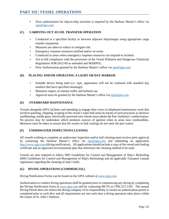• Prior authorization for ship-to-ship activities is required by the Harbour Master's office via [ops@sjpa.com.](mailto:ops@sjpa.com)

## **(C) CARRYING OUT AN OIL TRANSFER OPERATION**

- Conducted at a specified facility or between adjacent ships/barges using appropriate cargo transfer equipment.
- Measures are taken to reduce or mitigate risk.
- Emergency response resources notified and/or on-scene.
- Conducted in areas where emergency response resources can respond to incident.
- Are in full compliance with the provisions of the Vessel Pollution and Dangerous Chemicals Regulations SOR/2012-69 as amended and MARPOL.
- Prior Authorization granted by the Harbour Master's office via [ops@sjpa.com.](mailto:ops@sjpa.com)

## **(D) PLACING AND/OR OPERATING A LIGHT OR DAY MARKER**

- Suitable device being used (i.e. type, appearance will not be confused with standard day markers that have specified meanings).
- Minimize impact on marine traffic and harbour use.
- Approval must be granted by the Harbour Master's office via [ops@sjpa.com.](mailto:ops@sjpa.com)

## **(E) OVERBOARD MAINTENANCE**

Vessels alongside SJPA facilities and intending to engage their crews in shipboard maintenance work that involves painting, chipping, scraping of the vessel's outer hull areas by means of such processes as abrasive sandblasting, needle guns, electrically-powered wire wheels must obtain the Port Authority's authorization. No process may be undertaken which produces sources of ignition when in areas near combustibles. Measures must be taken to ensure that the wastes or hull coatings do not enter the port waters.

## **(F) UNDERWATER INSPECTION/CLEANING**

All vessels wishing to complete an underwater inspection and/or hull cleaning must receive prior approval by contacting the Harbour Master's office via [ops@sjpa.com](mailto:ops@sjpa.com) and submitting an application [http://www.sjpa.com](http://www.sjpa.com/) (diving notification) . All applications should include a copy of the vessel anti-fouling certificate and an approved environmental plan that references the cleaning method to be used.

Vessels are also required to follow IMO Guidelines for Control and Management of Ship's Biofouling (IMO Guidelines for Control and Management of Ship's Biofouling) and all applicable Transport Canada regulations regarding the cleaning of ship's hulls.

## **(G) DIVING OPERATIONS (COMMERCIAL)**

Diving Notification Forms can be found on the SJPA website at [www.sjpa.com.](http://www.sjpa.com/)

Authorization to conduct diving operations shall be granted prior to commencing any diving by completing the Diving Notification Form at [www.sjpa.com](http://www.sjpa.com/) and by contacting MCTS at (709) 227-2181. The annual Diving Permit does not relieve the diving company of its responsibility to ensure an authorization permit is completed prior to each dive and all requirements are met each time a diving operation takes place within the waters of St. John's Harbour.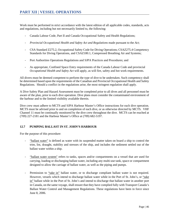Work must be performed in strict accordance with the latest edition of all applicable codes, standards, acts and regulations, including but not necessarily limited to, the following:

- Canada Labour Code, Part II and Canada Occupational Safety and Health Regulations;
- *Provincial Occupational Health and Safety Act and Regulations* made pursuant to the *Act*;
- CSA Standard Z275.2, Occupational Safety Code for Diving Operations; CSAZ275.4 Competency Standards for Diving Operations, and CSAZ180.1, Compressed Breathing Air and Systems;
- Port Authorities Operations Regulations and SJPA Practices and Procedures; and
- As appropriate, Confined Space Entry requirements of the Canada Labour Code and provincial *Occupational Health and Safety Act* will apply, as will fire, safety and hot work requirements.

All divers must be deemed competent to perform the type of dive to be undertaken. Such competency shall be determined based upon the requirements of the Canadian and Provincial Occupational Health and Safety Regulations. Should a conflict in the regulations arise, the most stringent regulation shall apply.

A Dive Safety Plan and Hazard Assessment must be completed prior to all dives and all personnel must be aware of the plan, prior to each dive operation. Dive plans must consider the contaminated environment of the harbour and to the limited visibility available therein.

Dive crew must adhere to MCTS and SJPA Harbour Master's Office instructions for each dive operation. MCTS must be advised prior to and on completion of each dive, or as otherwise directed by MCTS. VHF Channel 11 must be continually monitored by the dive crew throughout the dive. MCTS can be reached at (709) 227-2181 and the Harbour Master's Office at (709) 682-5197.

## **12.7 PUMPING BALLAST IN ST. JOHN'S HARBOUR**

For the purpose of this procedure:

- "ballast water" is defined as water with its suspended matter taken on board a ship to control the trim, list, draught, stability and stresses of the ship, and includes the sediment settled out of the ballast water within a ship.
- "ballast water system" refers to tanks, spaces and/or compartments on a vessel that are used for carrying, loading or discharging ballast water, including any multi-use tank, space or compartment designed to allow the carriage of ballast water, as well as the piping and pumps.
- Permission to "take in" ballast water, or to discharge compliant ballast water is not required. However, vessels which intend to discharge ballast water while in the Port of St. John's, or "take in" ballast while in the Port of St. John's and intend to discharge that ballast water in another port in Canada, on the same voyage, shall ensure that they have complied fully with Transport Canada's Ballast Water Control and Management Regulations. These regulations have been in force since June 8, 2006.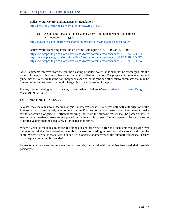- Ballast Water Control and Management Regulation: <http://laws-lois.justice.gc.ca/eng/regulations/SOR-2011-237/>
- TP 13617 A Guide to Canada's Ballast Water Control and Management Regulations:  $\blacksquare$  "Search: TP 13617"

<http://tc.canada.ca/en/marine-transportation/marine-safety/managing-ballast-water>

Ballast Water Reporting Form: link < Forms Catalogue > "85-0430E or 85-0430F". [https://wwwapps.tc.gc.ca/Corp-Serv-Gen/5/forms-formulaires/download/85-0512A\\_BO\\_PX](https://wwwapps.tc.gc.ca/Corp-Serv-Gen/5/forms-formulaires/download/85-0512A_BO_PX) [https://wwwapps.tc.gc.ca/Corp-Serv-Gen/5/forms-formulaires/download/85-0512B\\_BO\\_PX](https://wwwapps.tc.gc.ca/Corp-Serv-Gen/5/forms-formulaires/download/85-0512B_BO_PX) [https://wwwapps.tc.gc.ca/Corp-Serv-Gen/5/forms-formulaires/download/85-0512C\\_BO\\_PX](https://wwwapps.tc.gc.ca/Corp-Serv-Gen/5/forms-formulaires/download/85-0512C_BO_PX)

Note: Sediments removed from the routine cleaning of ballast water tanks shall not be discharged into the waters of the port or into any other waters under Canadian jurisdiction. The purpose of the regulations and guidelines are to ensure that the non-indigenous species, pathogens and other micro-organisms that may be present in the ballast water are not discharged into the ecosystem of the port.

For any queries relating to ballast water, contact Atlantic Ballast Water at: [atlanticballastwater@tc.gc.ca](mailto:atlanticballastwater@tc.gc.ca) or call (902) 426-3214.

## **12.8 NESTING OF VESSELS**

A vessel may make fast to or secure alongside another vessel at SJPA berths only with authorization of the Port Authority. Every vessel, when ordered by the Port Authority, shall permit any other vessel to make fast to, or secure alongside it. Sufficient mooring lines from the outboard vessel shall be passed ashore to ensure that excessive stresses are not placed on the inner ship's lines. The most seaward barge in a series of nested vessels shall be adequately illuminated at all times.

Where a vessel is made fast to or secured alongside another vessel, a free and unencumbered passage over the inner vessel shall be allowed to the outboard vessel for loading, unloading and access to and from the shore. Where a vessel is made fast to or secured alongside another vessel, the outboard vessel shall ensure that adequate fendering is provided.

Unless otherwise agreed to between the two vessels, the vessel with the higher freeboard shall provide gangways.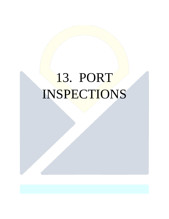# 13. PORT INSPECTIONS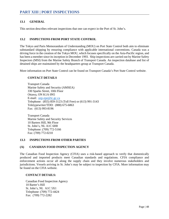## **PART XIII | PORT INSPECTIONS**

## **13.1 GENERAL**

This section describes relevant inspections that one can expect in the Port of St. John's.

#### **13.2 INSPECTIONS FROM PORT STATE CONTROL**

The Tokyo and Paris Memorandum of Understanding (MOU) on Port State Control both aim to eliminate substandard shipping by ensuring compliance with applicable international conventions. Canada was a driving force in the creation of the Tokyo MOU, which focuses specifically on the Asia-Pacific region, and has been a member since its inception in December 1993. Ship inspections are carried out by Marine Safety Inspectors (MSI) from the Marine Safety Branch of Transport Canada. An inspection database and list of detained ships are maintained by the headquarters group at Transport Canada.

More information on Port State Control can be found on Transport Canada's Port State Control website.

#### **CONTACT DETAILS**

Transport Canada Marine Safety and Security (AMSEA) 330 Sparks Street, 10th Floor Ottawa, ON K1A 0N5 E-mail: [oep-epe@tc.gc.ca](mailto:oep-epe@tc.gc.ca) Telephone: (855) 859-3123 (Toll Free) or (613) 991-3143 Teletypewriter/TDD: (888) 675-6863 Fax: (613) 993-8196

Transport Canada Marine Safety and Security Services 10 Barters Hill, 9th Floor St. John's, NL A1C 6H8 Telephone: (709) 772-5166 Fax: (709) 772-0210

#### **13.3 INSPECTIONS FROM OTHER PARTIES**

#### **(A) CANADIAN FOOD INSPECTION AGENCY**

The Canadian Food Inspection Agency (CFIA) uses a risk-based approach to verify that domestically produced and imported products meet Canadian standards and regulations. CFIA compliance and enforcement actions occur all along the supply chain and they involve numerous stakeholders and jurisdictions. Vessels arriving in St. John's may be subject to inspection by CFIA. More information may be found on the CFIA website.

#### **CONTACT DETAILS:**

Canadian Food Inspection Agency 10 Barter's Hill St. John's, NL A1C 5X1 Telephone: (709) 772-4424 Fax: (709) 772-2282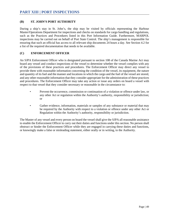## **(B) ST. JOHN'S PORT AUTHORITY**

During a ship's stay in St. John's, the ship may be visited by officials representing the Harbour Master/Operations Department for inspections and checks on standards for cargo handling and regulations, such as the Practices and Procedures listed in this Port Information Guide. Furthermore, MARPOL inspections may be carried out on behalf of Port State Control. The ship's management is responsible for ensuring that such an official has access to all relevant ship documents 24 hours a day. See Section 4.2 for a list of the required documentation that needs to be available.

## **(C) ENFORCEMENT OFFICER**

An SJPA Enforcement Officer who is designated pursuant to section 108 of the Canada Marine Act may board any vessel and conduct inspections of the vessel to determine whether the vessel complies with any of the provisions of these practices and procedures. The Enforcement Officer may direct any vessel to provide them with reasonable information concerning the condition of the vessel, its equipment, the nature and quantity of its fuel and the manner and locations in which the cargo and the fuel of the vessel are stored, and any other reasonable information that they consider appropriate for the administration of these practices and procedures. The Enforcement Officer may take any action or issue any orders on board a vessel with respect to that vessel that they consider necessary or reasonable in the circumstance to:

- Prevent the occurrence, commission or continuation of a violation or offence under law, or any other Act or regulation within the Authority's authority, responsibility or jurisdiction; or
- Gather evidence, information, materials or samples of any substance or material that may be required by the Authority with respect to a violation or offence under any other Act or Regulation within the Authority's authority, responsibility or jurisdiction.

The Master of any vessel and every person on board the vessel shall give the SJPA all reasonable assistance to enable the Enforcement Officer to carry out their duties and functions under this section. No person shall obstruct or hinder the Enforcement Officer while they are engaged in carrying these duties and functions, or knowingly make a false or misleading statement, either orally or in writing, to the Authority.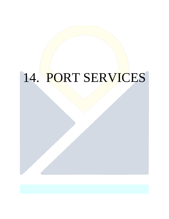# 14. PORT SERVICES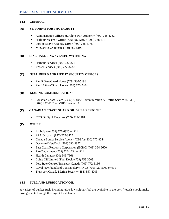## **14.1 GENERAL**

#### **(A) ST. JOHN'S PORT AUTHORITY**

- Administration Offices St. John's Port Authority (709) 738-4782
- Harbour Master's Office (709) 682-5197 / (709) 738-4777
- Port Security (709) 682-5196 / (709) 738-4775
- MFSO/PSO/Alternate (709) 682-5197

## **(B) LINE HANDLING / VESSEL WATERING**

- Harbour Services (709) 682-8761
- Vessel Services (709) 727-3730

## **(C) SJPA: PIER 9 AND PIER 17 SECURITY OFFICES**

- Pier 9 Gate/Guard House (709) 330-5196
- Pier 17 Gate/Guard House (709) 725-2404

## **(D) MARINE COMMUNICATIONS**

• Canadian Coast Guard (CCG) Marine Communication & Traffic Service (MCTS) (709) 227-2181 or VHF Channel 11

## **(E) CANADIAN COAST GUARD OIL SPILL RESPONSE**

• CCG Oil Spill Response (709) 227-2181

#### **(F) OTHER**

- Ambulance (709) 777-6320 or 911
- APA Dispatch (877) 272-3477
- Canada Border Service Agency (CBSA) (800) 772-8544
- Dockyard/NewDock (709) 690-9877
- East Coast Response Corporation (ECRC) (709) 364-6600
- Fire Department (709) 722-1234 or 911
- Health Canada (800) 545-7661
- Irving Oil Limited (Fuel Dock) (709) 758-3003
- Port State Control/Transport Canada (709) 772-5166
- Royal Newfoundland Constabulary (RNC) (709) 729-8000 or 911
- Transport Canada Marine Security (888) 857-4003

## **14.2 FUEL AND LUBRICATION OIL**

A variety of bunker fuels including ultra-low sulphur fuel are available in the port. Vessels should make arrangements through their agent for delivery.